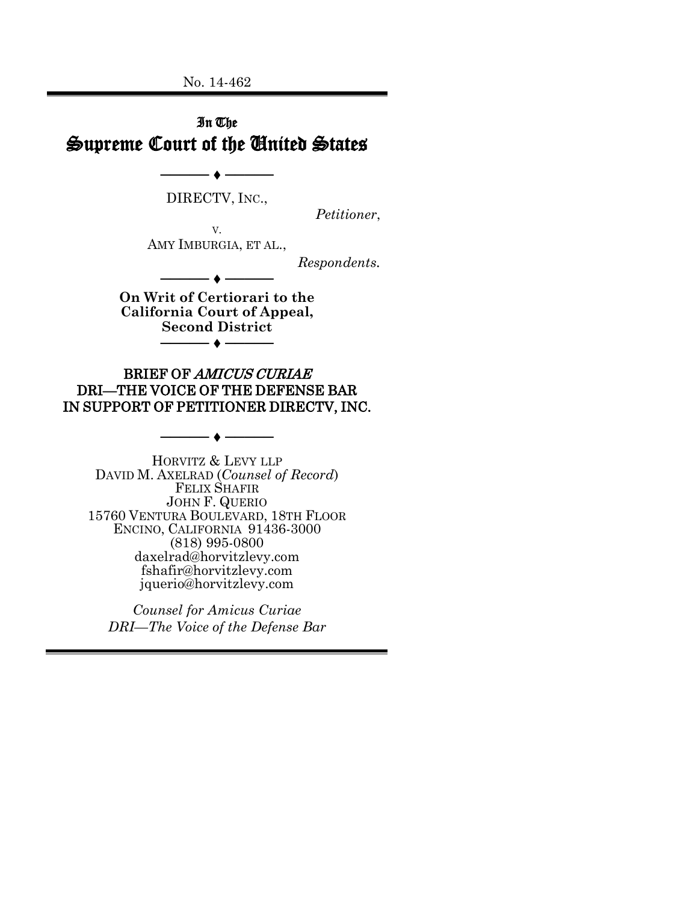No. 14-462

## In The Supreme Court of the United States

DIRECTV, INC.,

─◆──────

*Petitioner*,

V. AMY IMBURGIA, ET AL.,

*Respondents.*

**On Writ of Certiorari to the California Court of Appeal, Second District** ───── ─────

────◆───

BRIEF OF AMICUS CURIAE DRI—THE VOICE OF THE DEFENSE BAR IN SUPPORT OF PETITIONER DIRECTV, INC.

─────● ────

HORVITZ & LEVY LLP DAVID M. AXELRAD (*Counsel of Record*) FELIX SHAFIR JOHN F. QUERIO 15760 VENTURA BOULEVARD, 18TH FLOOR ENCINO, CALIFORNIA 91436-3000 (818) 995-0800 daxelrad@horvitzlevy.com fshafir@horvitzlevy.com jquerio@horvitzlevy.com

*Counsel for Amicus Curiae DRI—The Voice of the Defense Bar*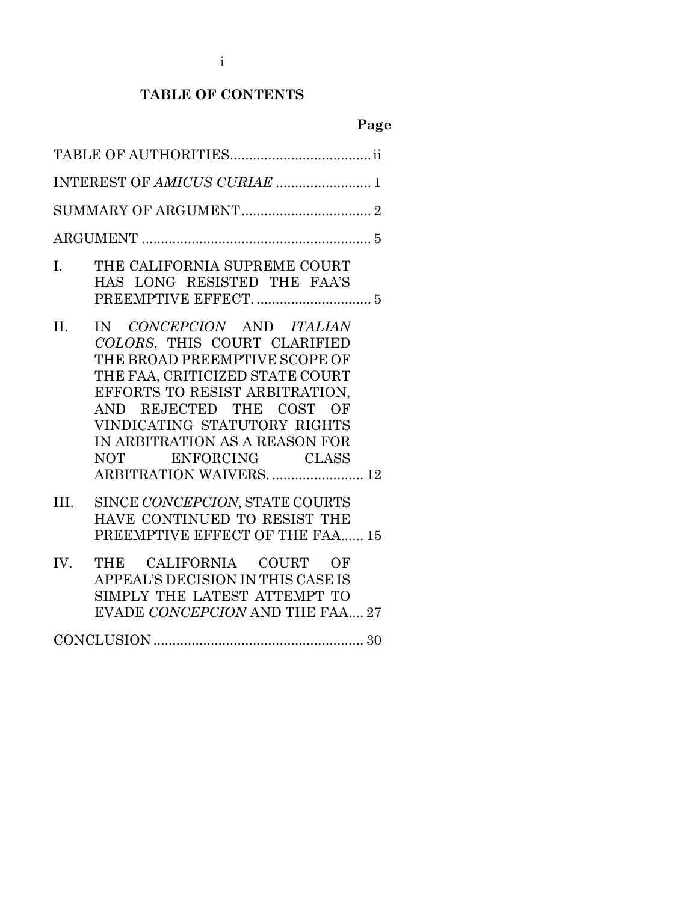i

## **TABLE OF CONTENTS**

# **Page**

| INTEREST OF AMICUS CURIAE  1                                                                                                                                                                                                                                                                                            |
|-------------------------------------------------------------------------------------------------------------------------------------------------------------------------------------------------------------------------------------------------------------------------------------------------------------------------|
|                                                                                                                                                                                                                                                                                                                         |
|                                                                                                                                                                                                                                                                                                                         |
| I.<br>THE CALIFORNIA SUPREME COURT<br>HAS LONG RESISTED THE FAA'S                                                                                                                                                                                                                                                       |
| IN CONCEPCION AND ITALIAN<br>II.<br>COLORS, THIS COURT CLARIFIED<br>THE BROAD PREEMPTIVE SCOPE OF<br>THE FAA, CRITICIZED STATE COURT<br>EFFORTS TO RESIST ARBITRATION,<br>AND REJECTED THE COST OF<br>VINDICATING STATUTORY RIGHTS<br>IN ARBITRATION AS A REASON FOR<br>NOT ENFORCING CLASS<br>ARBITRATION WAIVERS.  12 |
| SINCE CONCEPCION, STATE COURTS<br>III.<br>HAVE CONTINUED TO RESIST THE<br>PREEMPTIVE EFFECT OF THE FAA 15                                                                                                                                                                                                               |
| IV.<br>THE CALIFORNIA COURT OF<br>APPEAL'S DECISION IN THIS CASE IS<br>SIMPLY THE LATEST ATTEMPT TO<br>EVADE CONCEPCION AND THE FAA 27                                                                                                                                                                                  |
|                                                                                                                                                                                                                                                                                                                         |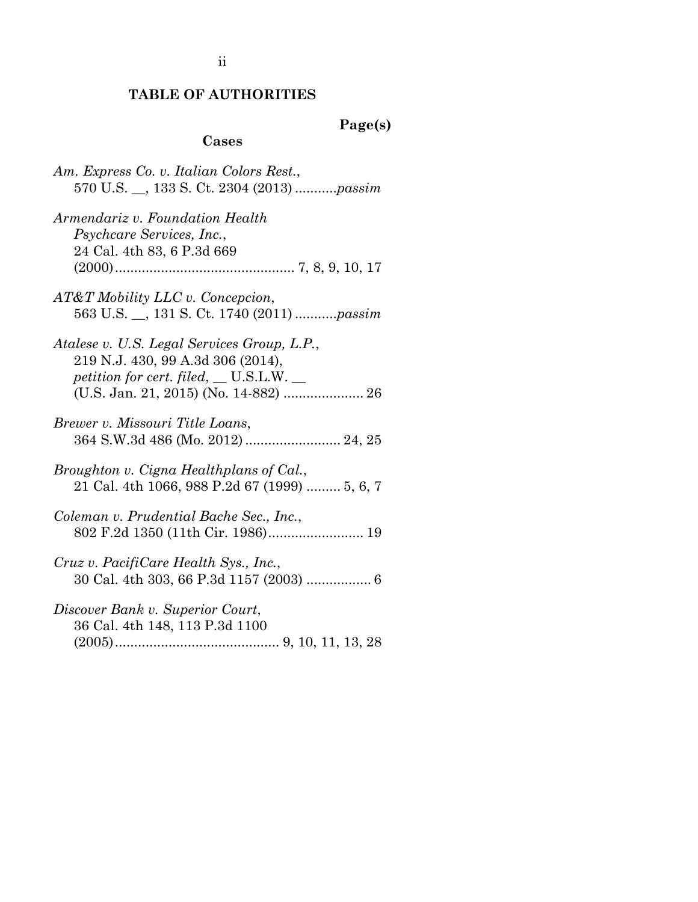#### **TABLE OF AUTHORITIES**

#### **Page(s)**

#### **Cases**

- *Am. Express Co. v. Italian Colors Rest.*, 570 U.S. \_\_, 133 S. Ct. 2304 (2013) ...........*passim*
- *Armendariz v. Foundation Health Psychcare Services, Inc.*, 24 Cal. 4th 83, 6 P.3d 669 (2000)............................................... 7, 8, 9, 10, 17
- *AT&T Mobility LLC v. Concepcion*, 563 U.S. \_\_, 131 S. Ct. 1740 (2011) ...........*passim*
- *Atalese v. U.S. Legal Services Group, L.P.*, 219 N.J. 430, 99 A.3d 306 (2014), *petition for cert. filed*, \_\_ U.S.L.W. \_\_ (U.S. Jan. 21, 2015) (No. 14-882) ..................... 26
- *Brewer v. Missouri Title Loans*, 364 S.W.3d 486 (Mo. 2012)......................... 24, 25
- *Broughton v. Cigna Healthplans of Cal.*, 21 Cal. 4th 1066, 988 P.2d 67 (1999) ......... 5, 6, 7
- *Coleman v. Prudential Bache Sec., Inc.*, 802 F.2d 1350 (11th Cir. 1986)......................... 19
- *Cruz v. PacifiCare Health Sys., Inc.*, 30 Cal. 4th 303, 66 P.3d 1157 (2003) ................. 6
- *Discover Bank v. Superior Court*, 36 Cal. 4th 148, 113 P.3d 1100 (2005)........................................... 9, 10, 11, 13, 28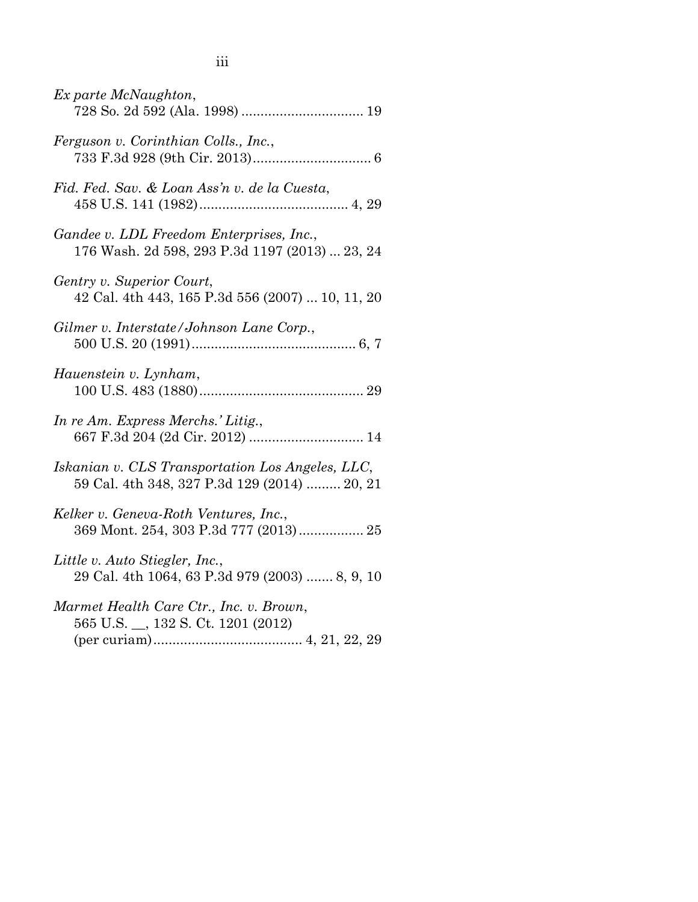| Ex parte McNaughton,                                                                             |
|--------------------------------------------------------------------------------------------------|
| Ferguson v. Corinthian Colls., Inc.,                                                             |
| Fid. Fed. Sav. & Loan Ass'n v. de la Cuesta,                                                     |
| Gandee v. LDL Freedom Enterprises, Inc.,<br>176 Wash. 2d 598, 293 P.3d 1197 (2013)  23, 24       |
| Gentry v. Superior Court,<br>42 Cal. 4th 443, 165 P.3d 556 (2007)  10, 11, 20                    |
| Gilmer v. Interstate/Johnson Lane Corp.,                                                         |
| Hauenstein v. Lynham,                                                                            |
| In re Am. Express Merchs.' Litig.,<br>667 F.3d 204 (2d Cir. 2012)  14                            |
| Iskanian v. CLS Transportation Los Angeles, LLC,<br>59 Cal. 4th 348, 327 P.3d 129 (2014)  20, 21 |
| Kelker v. Geneva-Roth Ventures, Inc.,                                                            |
| Little v. Auto Stiegler, Inc.,<br>29 Cal. 4th 1064, 63 P.3d 979 (2003)  8, 9, 10                 |
| Marmet Health Care Ctr., Inc. v. Brown,<br>565 U.S. __, 132 S. Ct. 1201 (2012)                   |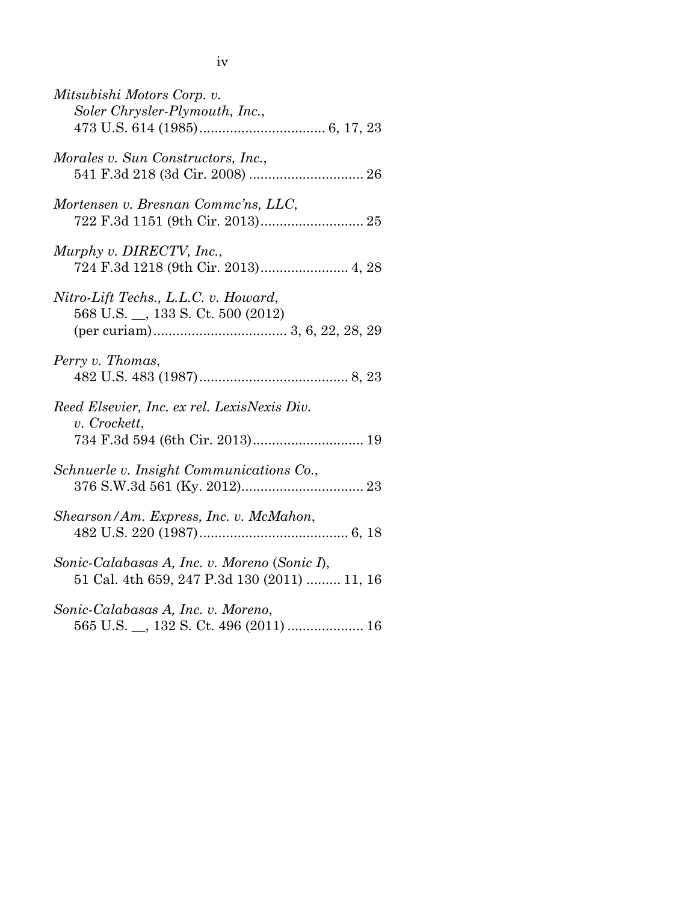| I |  |
|---|--|
| w |  |

| Mitsubishi Motors Corp. v.<br>Soler Chrysler-Plymouth, Inc.,                                   |
|------------------------------------------------------------------------------------------------|
| Morales v. Sun Constructors, Inc.,                                                             |
| Mortensen v. Bresnan Commc'ns, LLC,                                                            |
| Murphy v. DIRECTV, Inc.,                                                                       |
| Nitro-Lift Techs., L.L.C. v. Howard,<br>568 U.S. __, 133 S. Ct. 500 (2012)                     |
| Perry v. Thomas,                                                                               |
| Reed Elsevier, Inc. ex rel. LexisNexis Div.<br>v. Crockett,<br>734 F.3d 594 (6th Cir. 2013) 19 |
| Schnuerle v. Insight Communications Co.,                                                       |
| Shearson/Am. Express, Inc. v. McMahon,                                                         |
| Sonic-Calabasas A, Inc. v. Moreno (Sonic I),<br>51 Cal. 4th 659, 247 P.3d 130 (2011)  11, 16   |
| Sonic-Calabasas A, Inc. v. Moreno,                                                             |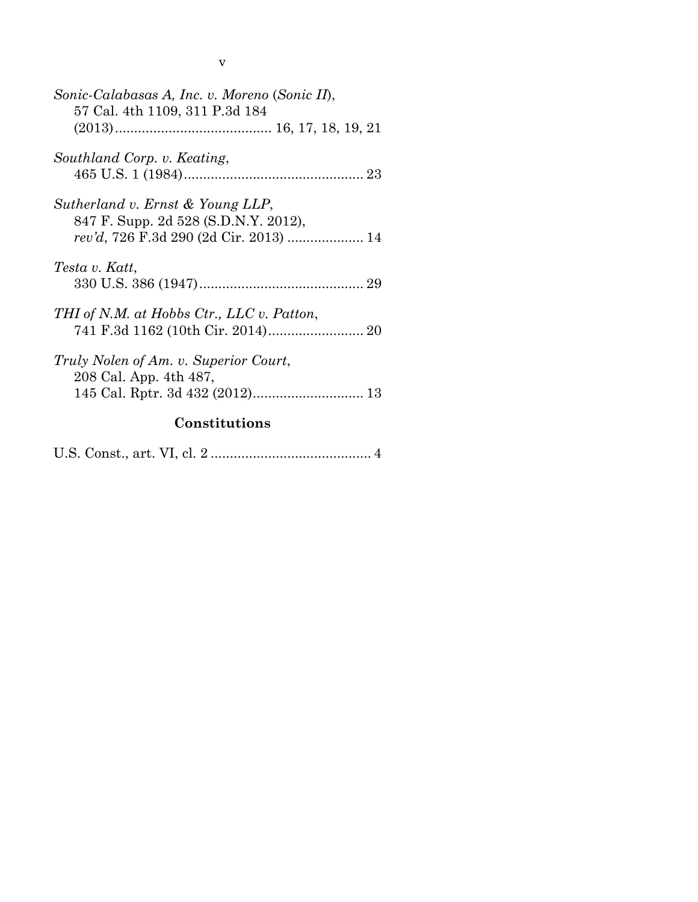| î, |
|----|
| I  |

| Sonic-Calabasas A, Inc. v. Moreno (Sonic II),<br>57 Cal. 4th 1109, 311 P.3d 184 |  |  |  |
|---------------------------------------------------------------------------------|--|--|--|
|                                                                                 |  |  |  |
| Southland Corp. v. Keating,                                                     |  |  |  |
| Sutherland v. Ernst & Young LLP,<br>847 F. Supp. 2d 528 (S.D.N.Y. 2012),        |  |  |  |
| Testa v. Katt,                                                                  |  |  |  |
| THI of N.M. at Hobbs Ctr., LLC v. Patton,                                       |  |  |  |
| Truly Nolen of Am. v. Superior Court,<br>208 Cal. App. 4th 487,                 |  |  |  |
| Constitutions                                                                   |  |  |  |

U.S. Const., art. VI, cl. 2 .......................................... 4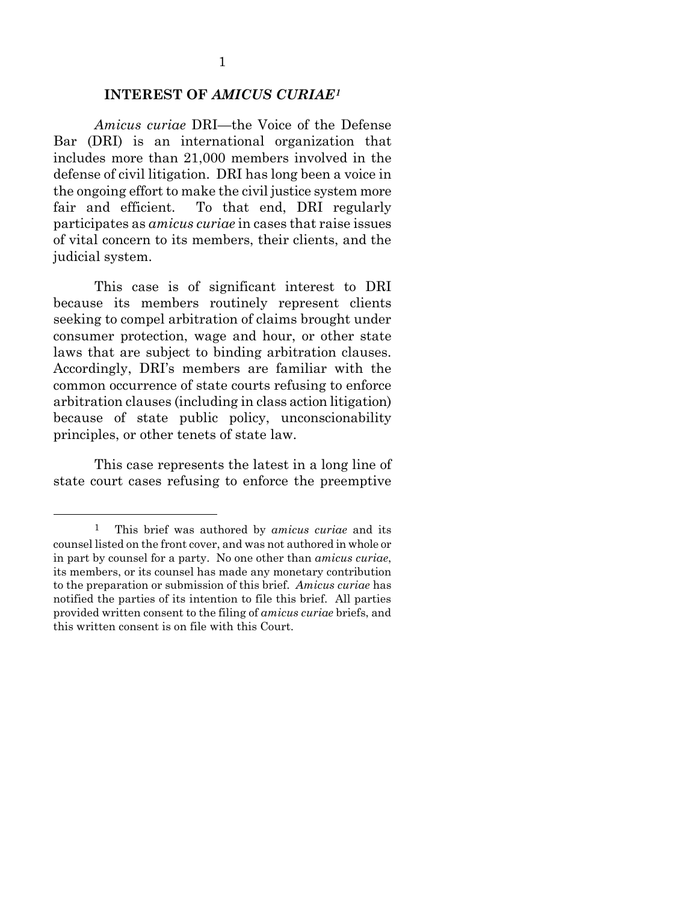#### **INTEREST OF** *AMICUS CURIAE[1](#page-6-0)*

*Amicus curiae* DRI—the Voice of the Defense Bar (DRI) is an international organization that includes more than 21,000 members involved in the defense of civil litigation. DRI has long been a voice in the ongoing effort to make the civil justice system more fair and efficient. To that end, DRI regularly participates as *amicus curiae* in cases that raise issues of vital concern to its members, their clients, and the judicial system.

This case is of significant interest to DRI because its members routinely represent clients seeking to compel arbitration of claims brought under consumer protection, wage and hour, or other state laws that are subject to binding arbitration clauses. Accordingly, DRI's members are familiar with the common occurrence of state courts refusing to enforce arbitration clauses (including in class action litigation) because of state public policy, unconscionability principles, or other tenets of state law.

This case represents the latest in a long line of state court cases refusing to enforce the preemptive

<span id="page-6-0"></span> <sup>1</sup> This brief was authored by *amicus curiae* and its counsel listed on the front cover, and was not authored in whole or in part by counsel for a party. No one other than *amicus curiae*, its members, or its counsel has made any monetary contribution to the preparation or submission of this brief. *Amicus curiae* has notified the parties of its intention to file this brief. All parties provided written consent to the filing of *amicus curiae* briefs, and this written consent is on file with this Court.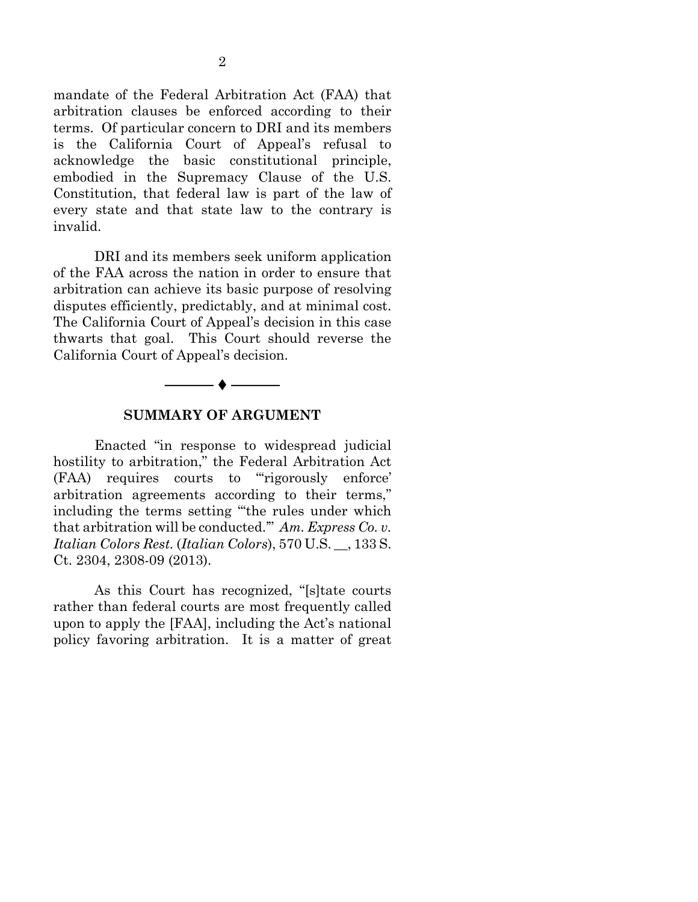mandate of the Federal Arbitration Act (FAA) that arbitration clauses be enforced according to their terms. Of particular concern to DRI and its members is the California Court of Appeal's refusal to acknowledge the basic constitutional principle, embodied in the Supremacy Clause of the U.S. Constitution, that federal law is part of the law of every state and that state law to the contrary is invalid.

DRI and its members seek uniform application of the FAA across the nation in order to ensure that arbitration can achieve its basic purpose of resolving disputes efficiently, predictably, and at minimal cost. The California Court of Appeal's decision in this case thwarts that goal. This Court should reverse the California Court of Appeal's decision.



#### **SUMMARY OF ARGUMENT**

Enacted "in response to widespread judicial hostility to arbitration," the Federal Arbitration Act (FAA) requires courts to "'rigorously enforce' arbitration agreements according to their terms," including the terms setting "'the rules under which that arbitration will be conducted.'" *Am. Express Co. v. Italian Colors Rest.* (*Italian Colors*), 570 U.S. \_\_, 133 S. Ct. 2304, 2308-09 (2013).

As this Court has recognized, "[s]tate courts rather than federal courts are most frequently called upon to apply the [FAA], including the Act's national policy favoring arbitration. It is a matter of great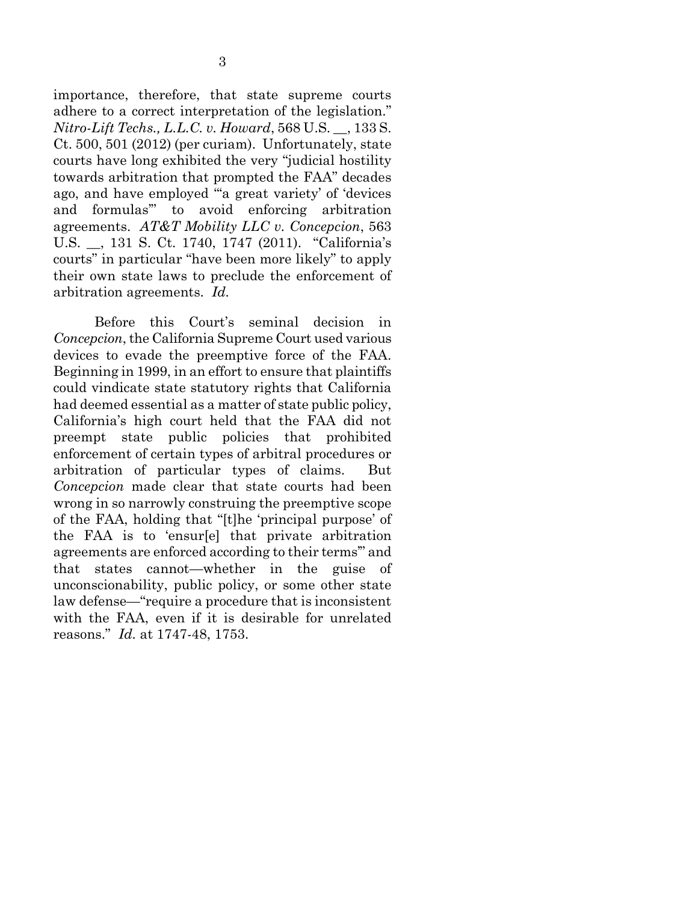importance, therefore, that state supreme courts adhere to a correct interpretation of the legislation." *Nitro-Lift Techs., L.L.C. v. Howard*, 568 U.S. \_\_, 133 S. Ct. 500, 501 (2012) (per curiam). Unfortunately, state courts have long exhibited the very "judicial hostility towards arbitration that prompted the FAA" decades ago, and have employed "'a great variety' of 'devices and formulas'" to avoid enforcing arbitration agreements. *AT&T Mobility LLC v. Concepcion*, 563 U.S. \_\_, 131 S. Ct. 1740, 1747 (2011). "California's courts" in particular "have been more likely" to apply their own state laws to preclude the enforcement of arbitration agreements. *Id.*

Before this Court's seminal decision in *Concepcion*, the California Supreme Court used various devices to evade the preemptive force of the FAA. Beginning in 1999, in an effort to ensure that plaintiffs could vindicate state statutory rights that California had deemed essential as a matter of state public policy, California's high court held that the FAA did not preempt state public policies that prohibited enforcement of certain types of arbitral procedures or arbitration of particular types of claims. But *Concepcion* made clear that state courts had been wrong in so narrowly construing the preemptive scope of the FAA, holding that "[t]he 'principal purpose' of the FAA is to 'ensur[e] that private arbitration agreements are enforced according to their terms'" and that states cannot—whether in the guise of unconscionability, public policy, or some other state law defense—"require a procedure that is inconsistent with the FAA, even if it is desirable for unrelated reasons." *Id.* at 1747-48, 1753.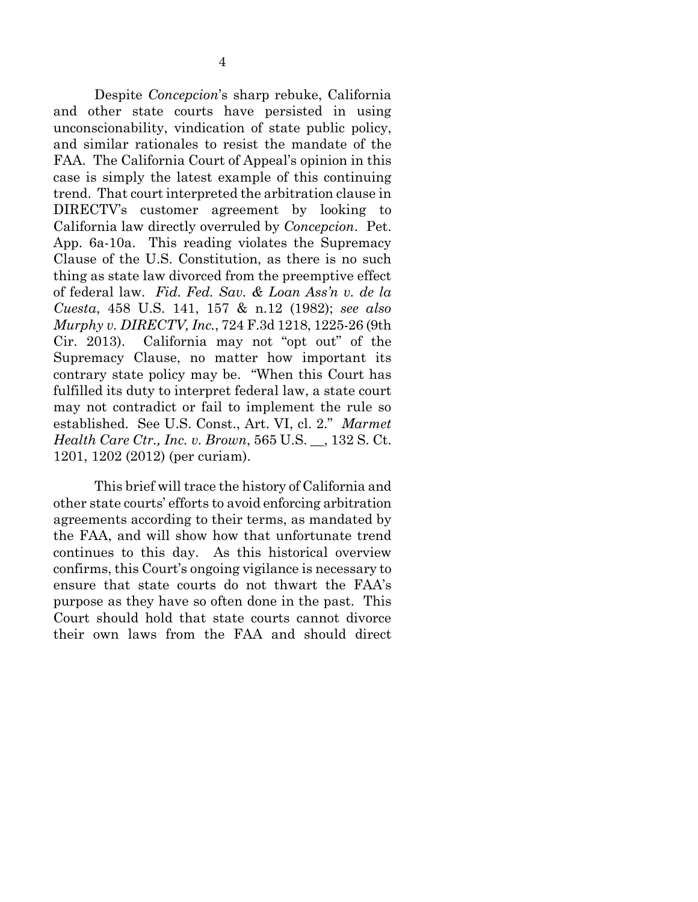Despite *Concepcion*'s sharp rebuke, California and other state courts have persisted in using unconscionability, vindication of state public policy, and similar rationales to resist the mandate of the FAA. The California Court of Appeal's opinion in this case is simply the latest example of this continuing trend. That court interpreted the arbitration clause in DIRECTV's customer agreement by looking to California law directly overruled by *Concepcion*. Pet. App. 6a-10a. This reading violates the Supremacy Clause of the U.S. Constitution, as there is no such thing as state law divorced from the preemptive effect of federal law. *Fid. Fed. Sav. & Loan Ass'n v. de la Cuesta*, 458 U.S. 141, 157 & n.12 (1982); *see also Murphy v. DIRECTV, Inc.*, 724 F.3d 1218, 1225-26 (9th Cir. 2013). California may not "opt out" of the Supremacy Clause, no matter how important its contrary state policy may be. "When this Court has fulfilled its duty to interpret federal law, a state court may not contradict or fail to implement the rule so established. See U.S. Const., Art. VI, cl. 2." *Marmet Health Care Ctr., Inc. v. Brown*, 565 U.S. \_\_, 132 S. Ct. 1201, 1202 (2012) (per curiam).

This brief will trace the history of California and other state courts' efforts to avoid enforcing arbitration agreements according to their terms, as mandated by the FAA, and will show how that unfortunate trend continues to this day. As this historical overview confirms, this Court's ongoing vigilance is necessary to ensure that state courts do not thwart the FAA's purpose as they have so often done in the past. This Court should hold that state courts cannot divorce their own laws from the FAA and should direct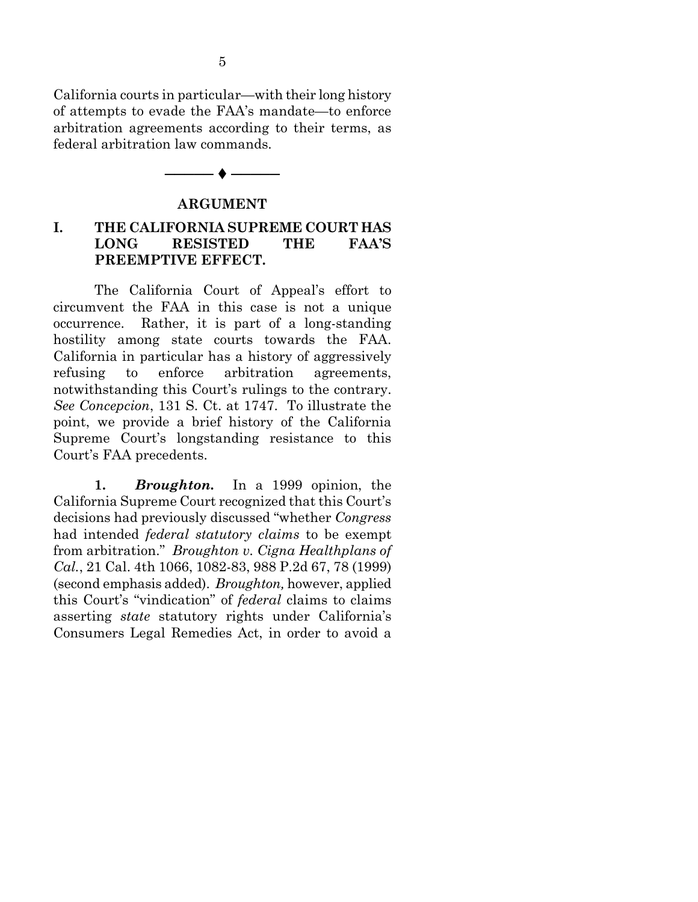California courts in particular—with their long history of attempts to evade the FAA's mandate—to enforce arbitration agreements according to their terms, as federal arbitration law commands.

# ────◆─── **ARGUMENT**

### **I. THE CALIFORNIA SUPREME COURT HAS LONG RESISTED THE FAA'S PREEMPTIVE EFFECT.**

The California Court of Appeal's effort to circumvent the FAA in this case is not a unique occurrence. Rather, it is part of a long-standing hostility among state courts towards the FAA. California in particular has a history of aggressively refusing to enforce arbitration agreements, notwithstanding this Court's rulings to the contrary. *See Concepcion*, 131 S. Ct. at 1747. To illustrate the point, we provide a brief history of the California Supreme Court's longstanding resistance to this Court's FAA precedents.

**1.** *Broughton.* In a 1999 opinion, the California Supreme Court recognized that this Court's decisions had previously discussed "whether *Congress* had intended *federal statutory claims* to be exempt from arbitration." *Broughton v. Cigna Healthplans of Cal.*, 21 Cal. 4th 1066, 1082-83, 988 P.2d 67, 78 (1999) (second emphasis added). *Broughton,* however, applied this Court's "vindication" of *federal* claims to claims asserting *state* statutory rights under California's Consumers Legal Remedies Act, in order to avoid a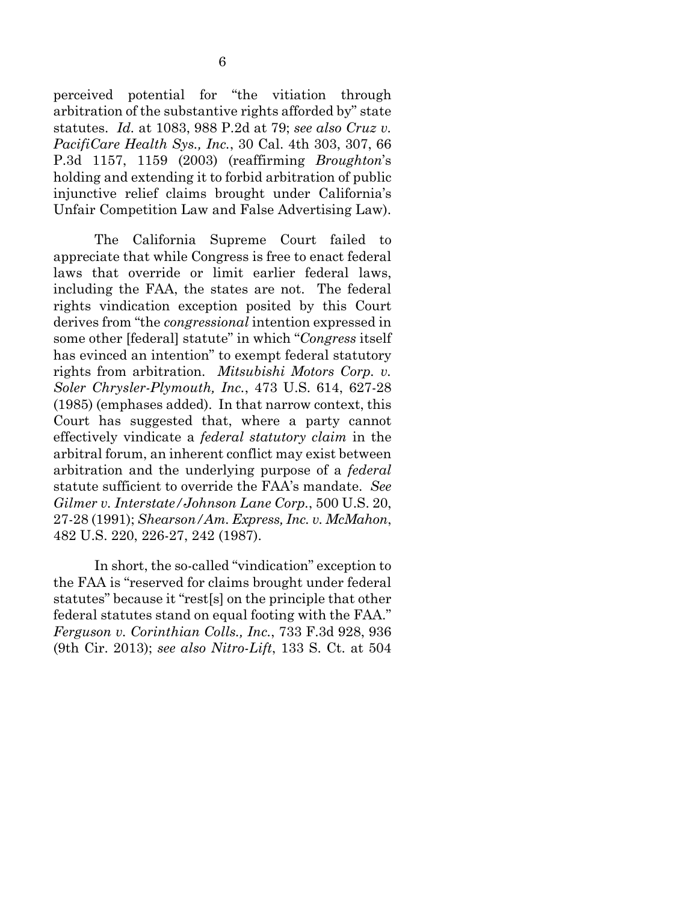perceived potential for "the vitiation through arbitration of the substantive rights afforded by" state statutes. *Id.* at 1083, 988 P.2d at 79; *see also Cruz v. PacifiCare Health Sys., Inc.*, 30 Cal. 4th 303, 307, 66 P.3d 1157, 1159 (2003) (reaffirming *Broughton*'s holding and extending it to forbid arbitration of public injunctive relief claims brought under California's Unfair Competition Law and False Advertising Law).

The California Supreme Court failed to appreciate that while Congress is free to enact federal laws that override or limit earlier federal laws, including the FAA, the states are not. The federal rights vindication exception posited by this Court derives from "the *congressional* intention expressed in some other [federal] statute" in which "*Congress* itself has evinced an intention" to exempt federal statutory rights from arbitration. *Mitsubishi Motors Corp. v. Soler Chrysler-Plymouth, Inc.*, 473 U.S. 614, 627-28 (1985) (emphases added). In that narrow context, this Court has suggested that, where a party cannot effectively vindicate a *federal statutory claim* in the arbitral forum, an inherent conflict may exist between arbitration and the underlying purpose of a *federal* statute sufficient to override the FAA's mandate. *See Gilmer v. Interstate/Johnson Lane Corp.*, 500 U.S. 20, 27-28 (1991); *Shearson/Am. Express, Inc. v. McMahon*, 482 U.S. 220, 226-27, 242 (1987).

In short, the so-called "vindication" exception to the FAA is "reserved for claims brought under federal statutes" because it "rest[s] on the principle that other federal statutes stand on equal footing with the FAA." *Ferguson v. Corinthian Colls., Inc.*, 733 F.3d 928, 936 (9th Cir. 2013); *see also Nitro-Lift*, 133 S. Ct. at 504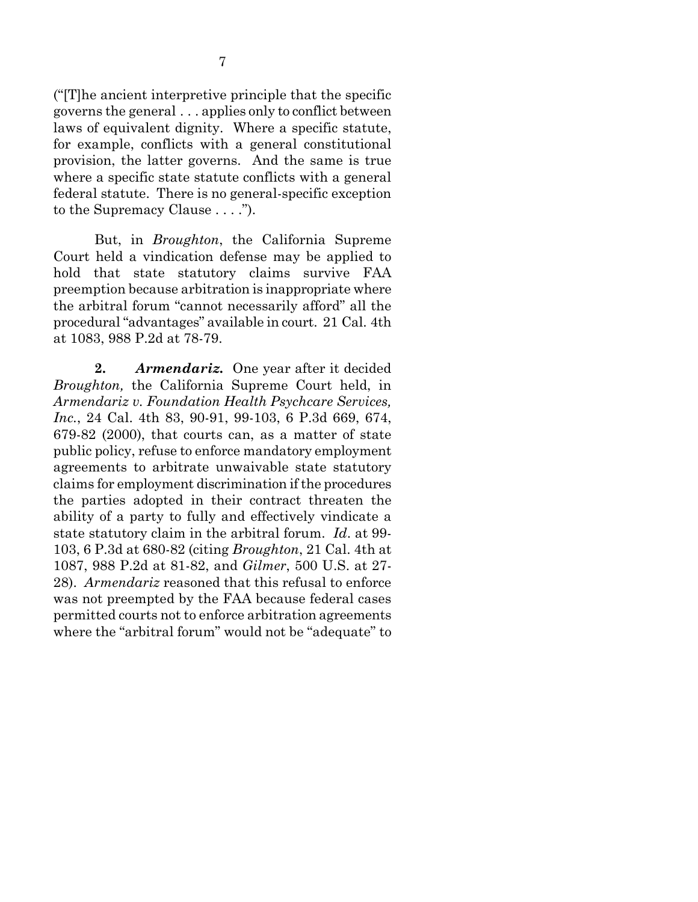("[T]he ancient interpretive principle that the specific governs the general . . . applies only to conflict between laws of equivalent dignity. Where a specific statute, for example, conflicts with a general constitutional provision, the latter governs. And the same is true where a specific state statute conflicts with a general federal statute. There is no general-specific exception to the Supremacy Clause . . . .").

But, in *Broughton*, the California Supreme Court held a vindication defense may be applied to hold that state statutory claims survive FAA preemption because arbitration is inappropriate where the arbitral forum "cannot necessarily afford" all the procedural "advantages" available in court. 21 Cal. 4th at 1083, 988 P.2d at 78-79.

**2.** *Armendariz.* One year after it decided *Broughton,* the California Supreme Court held, in *Armendariz v. Foundation Health Psychcare Services, Inc.*, 24 Cal. 4th 83, 90-91, 99-103, 6 P.3d 669, 674, 679-82 (2000), that courts can, as a matter of state public policy, refuse to enforce mandatory employment agreements to arbitrate unwaivable state statutory claims for employment discrimination if the procedures the parties adopted in their contract threaten the ability of a party to fully and effectively vindicate a state statutory claim in the arbitral forum. *Id*. at 99- 103, 6 P.3d at 680-82 (citing *Broughton*, 21 Cal. 4th at 1087, 988 P.2d at 81-82, and *Gilmer*, 500 U.S. at 27- 28). *Armendariz* reasoned that this refusal to enforce was not preempted by the FAA because federal cases permitted courts not to enforce arbitration agreements where the "arbitral forum" would not be "adequate" to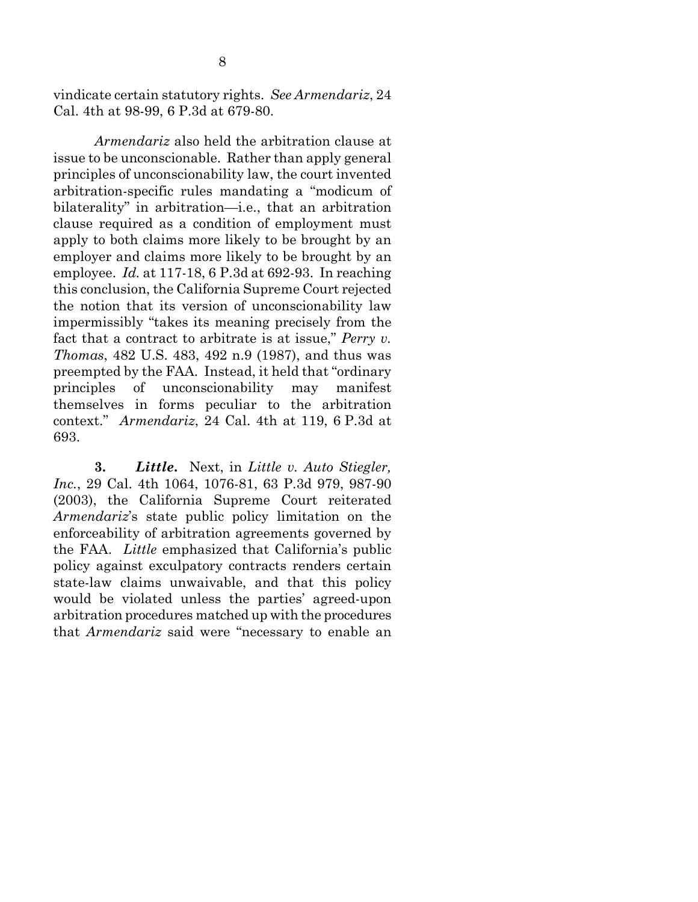vindicate certain statutory rights. *See Armendariz*, 24 Cal. 4th at 98-99, 6 P.3d at 679-80.

*Armendariz* also held the arbitration clause at issue to be unconscionable. Rather than apply general principles of unconscionability law, the court invented arbitration-specific rules mandating a "modicum of bilaterality" in arbitration—i.e., that an arbitration clause required as a condition of employment must apply to both claims more likely to be brought by an employer and claims more likely to be brought by an employee. *Id.* at 117-18, 6 P.3d at 692-93. In reaching this conclusion, the California Supreme Court rejected the notion that its version of unconscionability law impermissibly "takes its meaning precisely from the fact that a contract to arbitrate is at issue," *Perry v. Thomas*, 482 U.S. 483, 492 n.9 (1987), and thus was preempted by the FAA. Instead, it held that "ordinary principles of unconscionability may manifest themselves in forms peculiar to the arbitration context." *Armendariz*, 24 Cal. 4th at 119, 6 P.3d at 693.

**3.** *Little***.** Next, in *Little v. Auto Stiegler, Inc.*, 29 Cal. 4th 1064, 1076-81, 63 P.3d 979, 987-90 (2003), the California Supreme Court reiterated *Armendariz*'s state public policy limitation on the enforceability of arbitration agreements governed by the FAA. *Little* emphasized that California's public policy against exculpatory contracts renders certain state-law claims unwaivable, and that this policy would be violated unless the parties' agreed-upon arbitration procedures matched up with the procedures that *Armendariz* said were "necessary to enable an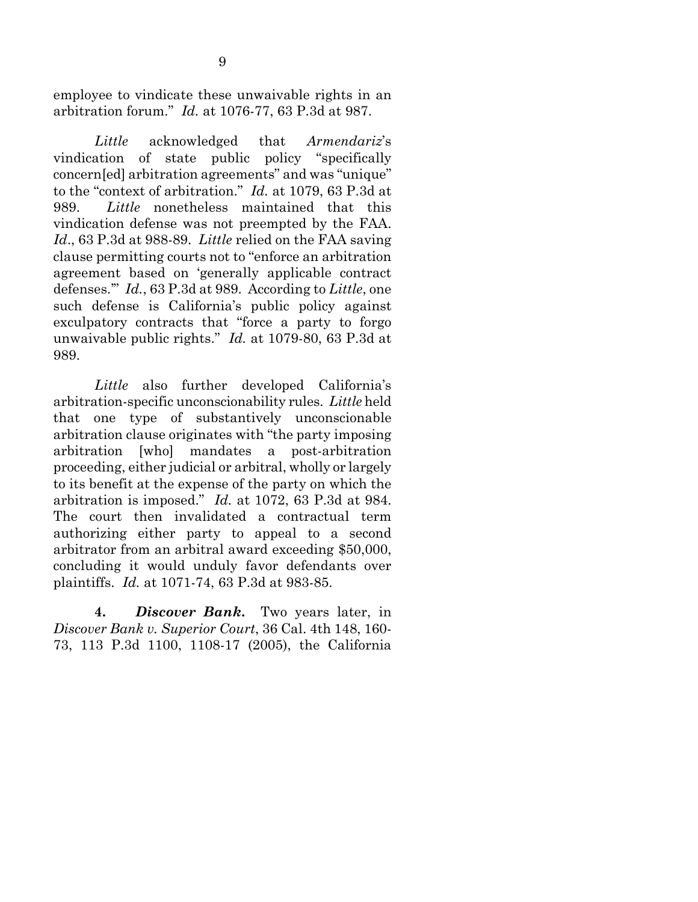employee to vindicate these unwaivable rights in an arbitration forum." *Id.* at 1076-77, 63 P.3d at 987.

*Little* acknowledged that *Armendariz*'s vindication of state public policy "specifically concern[ed] arbitration agreements" and was "unique" to the "context of arbitration." *Id.* at 1079, 63 P.3d at 989. *Little* nonetheless maintained that this vindication defense was not preempted by the FAA. *Id*., 63 P.3d at 988-89. *Little* relied on the FAA saving clause permitting courts not to "enforce an arbitration agreement based on 'generally applicable contract defenses.'" *Id.*, 63 P.3d at 989. According to *Little*, one such defense is California's public policy against exculpatory contracts that "force a party to forgo unwaivable public rights." *Id.* at 1079-80, 63 P.3d at 989.

*Little* also further developed California's arbitration-specific unconscionability rules. *Little* held that one type of substantively unconscionable arbitration clause originates with "the party imposing arbitration [who] mandates a post-arbitration proceeding, either judicial or arbitral, wholly or largely to its benefit at the expense of the party on which the arbitration is imposed." *Id.* at 1072, 63 P.3d at 984. The court then invalidated a contractual term authorizing either party to appeal to a second arbitrator from an arbitral award exceeding \$50,000, concluding it would unduly favor defendants over plaintiffs. *Id.* at 1071-74, 63 P.3d at 983-85.

**4.** *Discover Bank***.** Two years later, in *Discover Bank v. Superior Court*, 36 Cal. 4th 148, 160- 73, 113 P.3d 1100, 1108-17 (2005), the California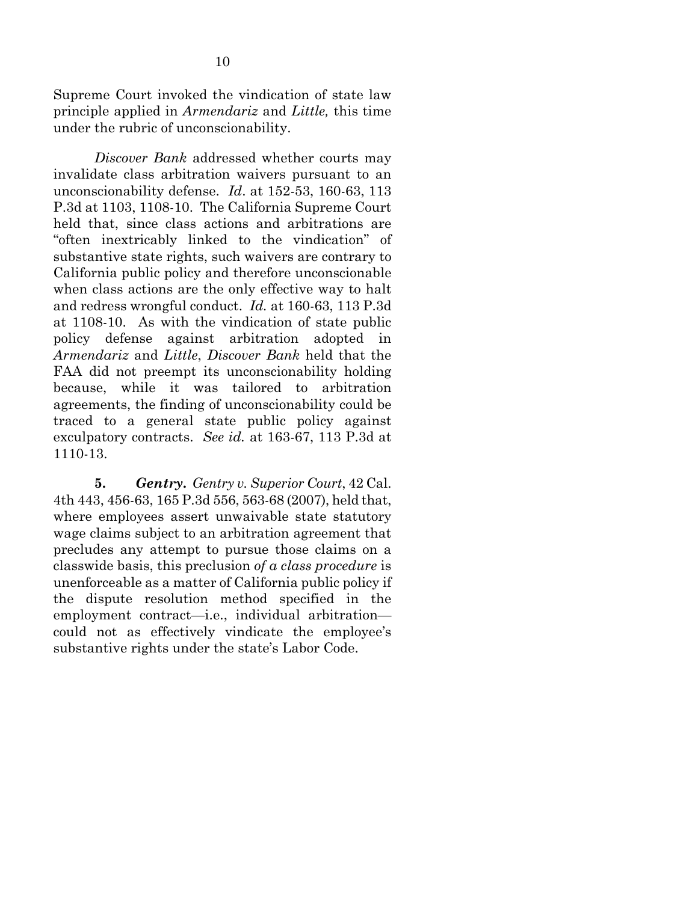Supreme Court invoked the vindication of state law principle applied in *Armendariz* and *Little,* this time under the rubric of unconscionability.

*Discover Bank* addressed whether courts may invalidate class arbitration waivers pursuant to an unconscionability defense. *Id*. at 152-53, 160-63, 113 P.3d at 1103, 1108-10. The California Supreme Court held that, since class actions and arbitrations are "often inextricably linked to the vindication" of substantive state rights, such waivers are contrary to California public policy and therefore unconscionable when class actions are the only effective way to halt and redress wrongful conduct. *Id.* at 160-63, 113 P.3d at 1108-10. As with the vindication of state public policy defense against arbitration adopted in *Armendariz* and *Little*, *Discover Bank* held that the FAA did not preempt its unconscionability holding because, while it was tailored to arbitration agreements, the finding of unconscionability could be traced to a general state public policy against exculpatory contracts. *See id.* at 163-67, 113 P.3d at 1110-13.

**5.** *Gentry***.** *Gentry v. Superior Court*, 42 Cal. 4th 443, 456-63, 165 P.3d 556, 563-68 (2007), held that, where employees assert unwaivable state statutory wage claims subject to an arbitration agreement that precludes any attempt to pursue those claims on a classwide basis, this preclusion *of a class procedure* is unenforceable as a matter of California public policy if the dispute resolution method specified in the employment contract—i.e., individual arbitration could not as effectively vindicate the employee's substantive rights under the state's Labor Code.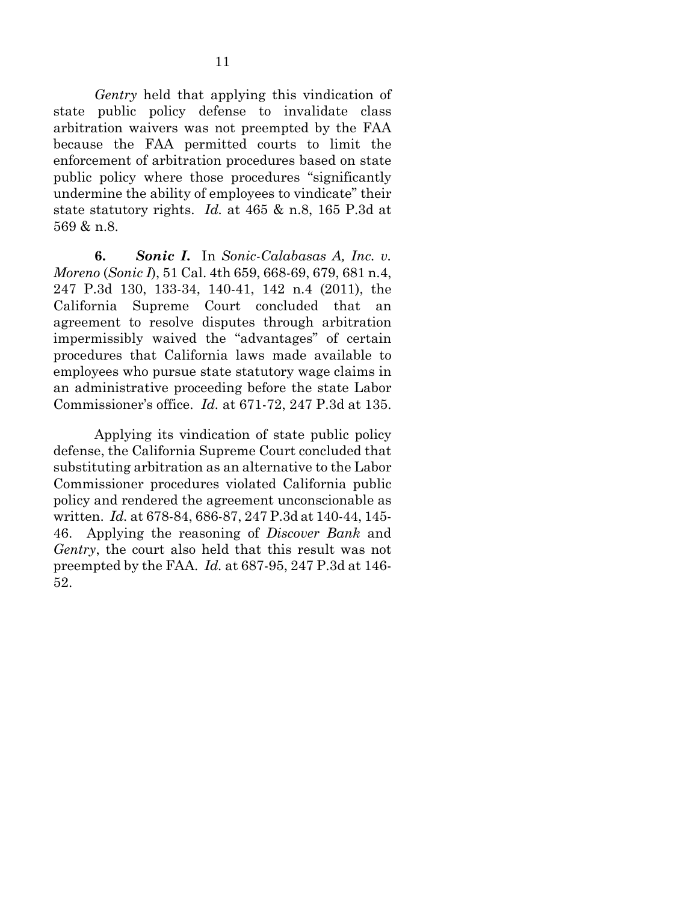*Gentry* held that applying this vindication of state public policy defense to invalidate class arbitration waivers was not preempted by the FAA because the FAA permitted courts to limit the enforcement of arbitration procedures based on state public policy where those procedures "significantly undermine the ability of employees to vindicate" their state statutory rights. *Id.* at 465 & n.8, 165 P.3d at 569 & n.8.

**6.** *Sonic I***.** In *Sonic-Calabasas A, Inc. v. Moreno* (*Sonic I*), 51 Cal. 4th 659, 668-69, 679, 681 n.4, 247 P.3d 130, 133-34, 140-41, 142 n.4 (2011), the California Supreme Court concluded that an agreement to resolve disputes through arbitration impermissibly waived the "advantages" of certain procedures that California laws made available to employees who pursue state statutory wage claims in an administrative proceeding before the state Labor Commissioner's office. *Id.* at 671-72, 247 P.3d at 135.

Applying its vindication of state public policy defense, the California Supreme Court concluded that substituting arbitration as an alternative to the Labor Commissioner procedures violated California public policy and rendered the agreement unconscionable as written. *Id.* at 678-84, 686-87, 247 P.3d at 140-44, 145- 46. Applying the reasoning of *Discover Bank* and *Gentry*, the court also held that this result was not preempted by the FAA. *Id.* at 687-95, 247 P.3d at 146- 52.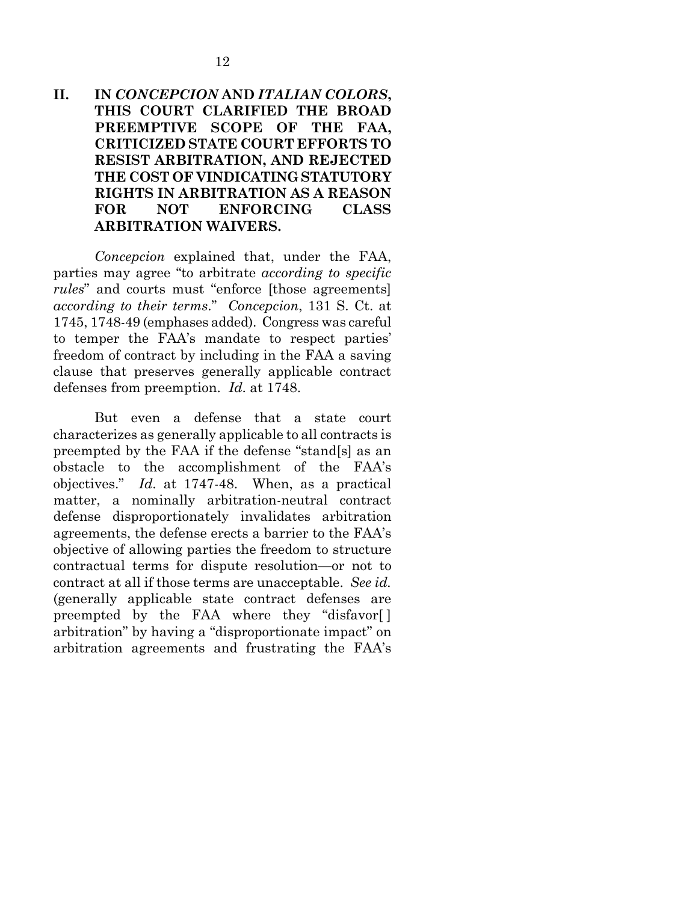### **II. IN** *CONCEPCION* **AND** *ITALIAN COLORS***, THIS COURT CLARIFIED THE BROAD PREEMPTIVE SCOPE OF THE FAA, CRITICIZED STATE COURT EFFORTS TO RESIST ARBITRATION, AND REJECTED THE COST OF VINDICATING STATUTORY RIGHTS IN ARBITRATION AS A REASON FOR NOT ENFORCING CLASS ARBITRATION WAIVERS.**

*Concepcion* explained that, under the FAA, parties may agree "to arbitrate *according to specific rules*" and courts must "enforce [those agreements] *according to their terms*." *Concepcion*, 131 S. Ct. at 1745, 1748-49 (emphases added). Congress was careful to temper the FAA's mandate to respect parties' freedom of contract by including in the FAA a saving clause that preserves generally applicable contract defenses from preemption. *Id*. at 1748.

But even a defense that a state court characterizes as generally applicable to all contracts is preempted by the FAA if the defense "stand[s] as an obstacle to the accomplishment of the FAA's objectives." *Id*. at 1747-48. When, as a practical matter, a nominally arbitration-neutral contract defense disproportionately invalidates arbitration agreements, the defense erects a barrier to the FAA's objective of allowing parties the freedom to structure contractual terms for dispute resolution—or not to contract at all if those terms are unacceptable. *See id.* (generally applicable state contract defenses are preempted by the FAA where they "disfavor[ ] arbitration" by having a "disproportionate impact" on arbitration agreements and frustrating the FAA's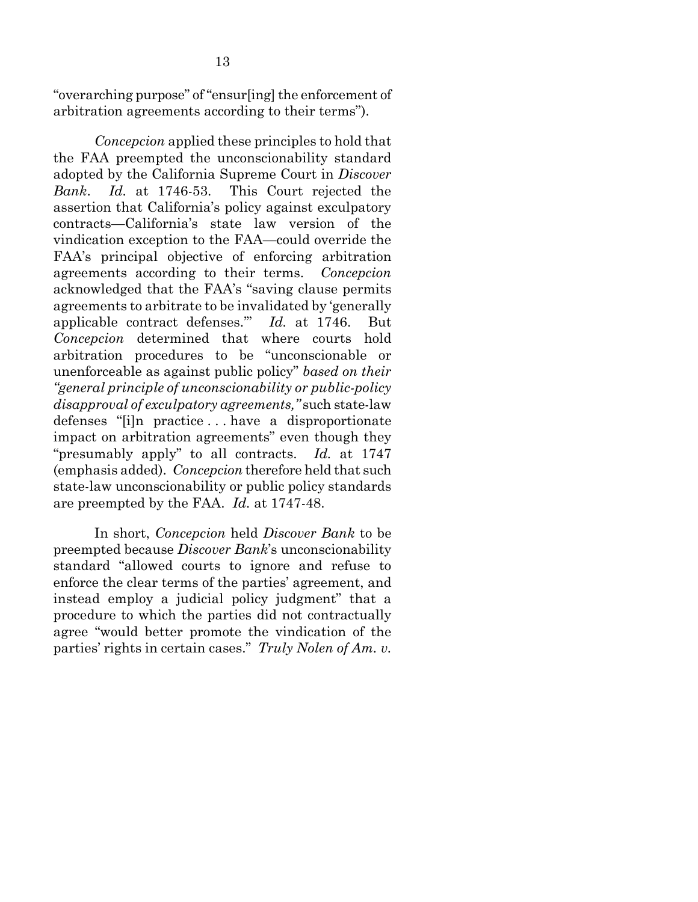"overarching purpose" of "ensur[ing] the enforcement of arbitration agreements according to their terms").

*Concepcion* applied these principles to hold that the FAA preempted the unconscionability standard adopted by the California Supreme Court in *Discover Bank*. *Id.* at 1746-53. This Court rejected the assertion that California's policy against exculpatory contracts—California's state law version of the vindication exception to the FAA—could override the FAA's principal objective of enforcing arbitration agreements according to their terms. *Concepcion* acknowledged that the FAA's "saving clause permits agreements to arbitrate to be invalidated by 'generally applicable contract defenses.'" *Id.* at 1746. But *Concepcion* determined that where courts hold arbitration procedures to be "unconscionable or unenforceable as against public policy" *based on their "general principle of unconscionability or public-policy disapproval of exculpatory agreements,"* such state-law defenses "[i]n practice . . . have a disproportionate impact on arbitration agreements" even though they "presumably apply" to all contracts. *Id.* at 1747 (emphasis added). *Concepcion* therefore held that such state-law unconscionability or public policy standards are preempted by the FAA. *Id.* at 1747-48.

In short, *Concepcion* held *Discover Bank* to be preempted because *Discover Bank*'s unconscionability standard "allowed courts to ignore and refuse to enforce the clear terms of the parties' agreement, and instead employ a judicial policy judgment" that a procedure to which the parties did not contractually agree "would better promote the vindication of the parties' rights in certain cases." *Truly Nolen of Am. v.*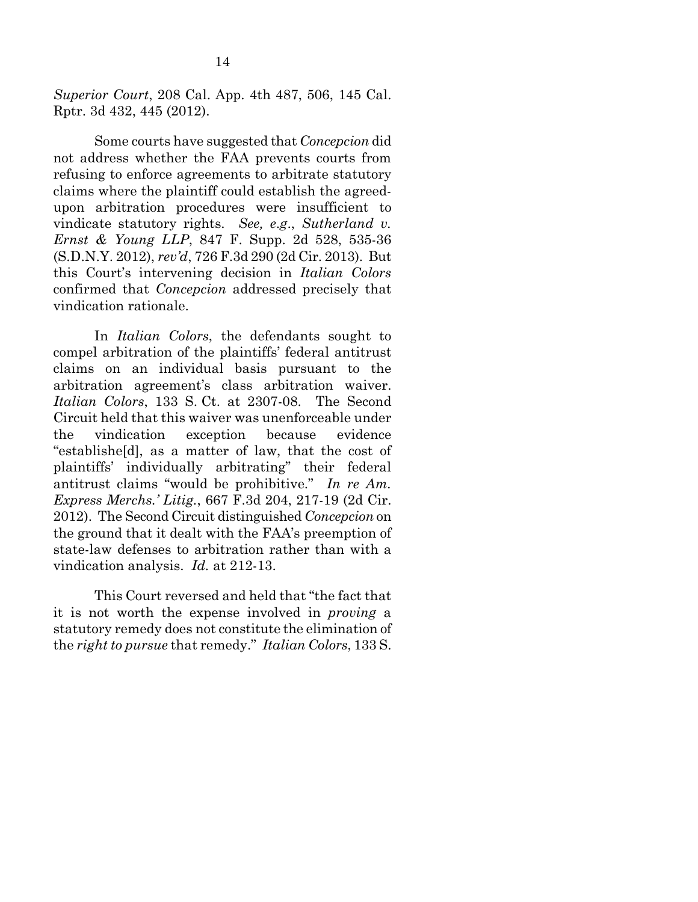*Superior Court*, 208 Cal. App. 4th 487, 506, 145 Cal. Rptr. 3d 432, 445 (2012).

Some courts have suggested that *Concepcion* did not address whether the FAA prevents courts from refusing to enforce agreements to arbitrate statutory claims where the plaintiff could establish the agreedupon arbitration procedures were insufficient to vindicate statutory rights. *See, e*.*g*., *Sutherland v. Ernst & Young LLP*, 847 F. Supp. 2d 528, 535-36 (S.D.N.Y. 2012), *rev'd*, 726 F.3d 290 (2d Cir. 2013). But this Court's intervening decision in *Italian Colors* confirmed that *Concepcion* addressed precisely that vindication rationale.

In *Italian Colors*, the defendants sought to compel arbitration of the plaintiffs' federal antitrust claims on an individual basis pursuant to the arbitration agreement's class arbitration waiver. *Italian Colors*, 133 S. Ct. at 2307-08. The Second Circuit held that this waiver was unenforceable under the vindication exception because evidence "establishe[d], as a matter of law, that the cost of plaintiffs' individually arbitrating" their federal antitrust claims "would be prohibitive." *In re Am. Express Merchs.' Litig.*, 667 F.3d 204, 217-19 (2d Cir. 2012). The Second Circuit distinguished *Concepcion* on the ground that it dealt with the FAA's preemption of state-law defenses to arbitration rather than with a vindication analysis. *Id.* at 212-13.

This Court reversed and held that "the fact that it is not worth the expense involved in *proving* a statutory remedy does not constitute the elimination of the *right to pursue* that remedy." *Italian Colors*, 133 S.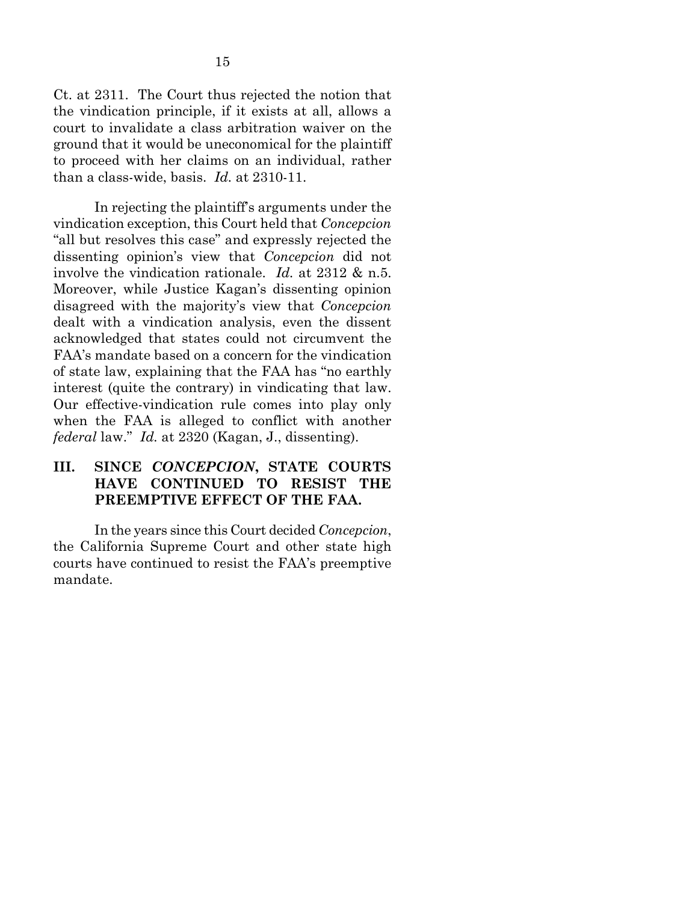Ct. at 2311. The Court thus rejected the notion that the vindication principle, if it exists at all, allows a court to invalidate a class arbitration waiver on the ground that it would be uneconomical for the plaintiff to proceed with her claims on an individual, rather than a class-wide, basis. *Id.* at 2310-11.

In rejecting the plaintiff's arguments under the vindication exception, this Court held that *Concepcion* "all but resolves this case" and expressly rejected the dissenting opinion's view that *Concepcion* did not involve the vindication rationale. *Id.* at 2312 & n.5. Moreover, while Justice Kagan's dissenting opinion disagreed with the majority's view that *Concepcion* dealt with a vindication analysis, even the dissent acknowledged that states could not circumvent the FAA's mandate based on a concern for the vindication of state law, explaining that the FAA has "no earthly interest (quite the contrary) in vindicating that law. Our effective-vindication rule comes into play only when the FAA is alleged to conflict with another *federal* law." *Id.* at 2320 (Kagan, J., dissenting).

### **III. SINCE** *CONCEPCION***, STATE COURTS HAVE CONTINUED TO RESIST THE PREEMPTIVE EFFECT OF THE FAA.**

In the years since this Court decided *Concepcion*, the California Supreme Court and other state high courts have continued to resist the FAA's preemptive mandate.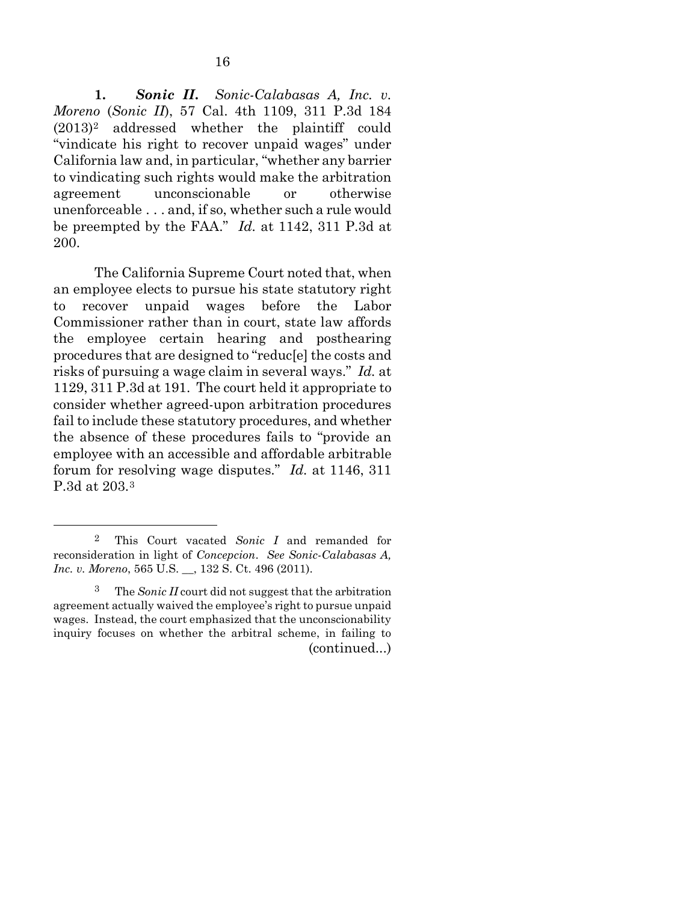**1.** *Sonic II***.** *Sonic-Calabasas A, Inc. v. Moreno* (*Sonic II*), 57 Cal. 4th 1109, 311 P.3d 184 (2013)[2](#page-21-0) addressed whether the plaintiff could "vindicate his right to recover unpaid wages" under California law and, in particular, "whether any barrier to vindicating such rights would make the arbitration agreement unconscionable or otherwise unenforceable . . . and, if so, whether such a rule would be preempted by the FAA." *Id.* at 1142, 311 P.3d at 200.

The California Supreme Court noted that, when an employee elects to pursue his state statutory right to recover unpaid wages before the Labor Commissioner rather than in court, state law affords the employee certain hearing and posthearing procedures that are designed to "reduc[e] the costs and risks of pursuing a wage claim in several ways." *Id.* at 1129, 311 P.3d at 191. The court held it appropriate to consider whether agreed-upon arbitration procedures fail to include these statutory procedures, and whether the absence of these procedures fails to "provide an employee with an accessible and affordable arbitrable forum for resolving wage disputes." *Id.* at 1146, 311 P.3d at 203.[3](#page-21-1)

<span id="page-21-0"></span> <sup>2</sup> This Court vacated *Sonic I* and remanded for reconsideration in light of *Concepcion*. *See Sonic-Calabasas A, Inc. v. Moreno*, 565 U.S. \_\_, 132 S. Ct. 496 (2011).

<span id="page-21-1"></span>The *Sonic II* court did not suggest that the arbitration agreement actually waived the employee's right to pursue unpaid wages. Instead, the court emphasized that the unconscionability inquiry focuses on whether the arbitral scheme, in failing to (continued...)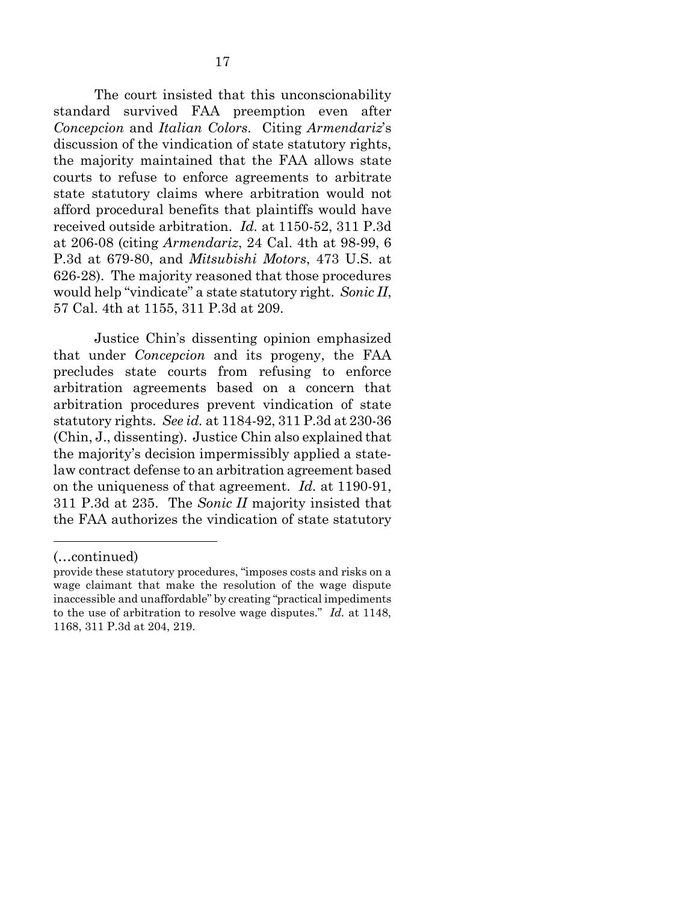The court insisted that this unconscionability standard survived FAA preemption even after *Concepcion* and *Italian Colors*. Citing *Armendariz*'s discussion of the vindication of state statutory rights, the majority maintained that the FAA allows state courts to refuse to enforce agreements to arbitrate state statutory claims where arbitration would not afford procedural benefits that plaintiffs would have received outside arbitration. *Id.* at 1150-52, 311 P.3d at 206-08 (citing *Armendariz*, 24 Cal. 4th at 98-99, 6 P.3d at 679-80, and *Mitsubishi Motors*, 473 U.S. at 626-28). The majority reasoned that those procedures would help "vindicate" a state statutory right. *Sonic II*, 57 Cal. 4th at 1155, 311 P.3d at 209.

Justice Chin's dissenting opinion emphasized that under *Concepcion* and its progeny, the FAA precludes state courts from refusing to enforce arbitration agreements based on a concern that arbitration procedures prevent vindication of state statutory rights. *See id.* at 1184-92, 311 P.3d at 230-36 (Chin, J., dissenting). Justice Chin also explained that the majority's decision impermissibly applied a statelaw contract defense to an arbitration agreement based on the uniqueness of that agreement. *Id.* at 1190-91, 311 P.3d at 235. The *Sonic II* majority insisted that the FAA authorizes the vindication of state statutory

<u>.</u>

<sup>(…</sup>continued)

provide these statutory procedures, "imposes costs and risks on a wage claimant that make the resolution of the wage dispute inaccessible and unaffordable" by creating "practical impediments to the use of arbitration to resolve wage disputes." *Id.* at 1148, 1168, 311 P.3d at 204, 219.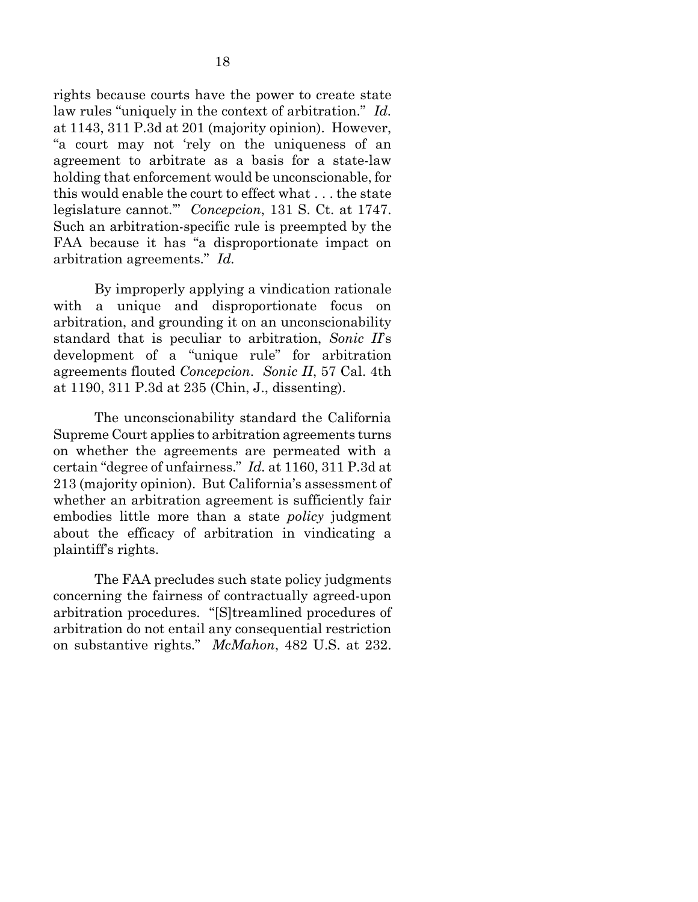rights because courts have the power to create state law rules "uniquely in the context of arbitration." *Id.* at 1143, 311 P.3d at 201 (majority opinion). However, "a court may not 'rely on the uniqueness of an agreement to arbitrate as a basis for a state-law holding that enforcement would be unconscionable, for this would enable the court to effect what . . . the state legislature cannot.'" *Concepcion*, 131 S. Ct. at 1747. Such an arbitration-specific rule is preempted by the FAA because it has "a disproportionate impact on arbitration agreements." *Id.*

By improperly applying a vindication rationale with a unique and disproportionate focus on arbitration, and grounding it on an unconscionability standard that is peculiar to arbitration, *Sonic II*'s development of a "unique rule" for arbitration agreements flouted *Concepcion*. *Sonic II*, 57 Cal. 4th at 1190, 311 P.3d at 235 (Chin, J., dissenting).

The unconscionability standard the California Supreme Court applies to arbitration agreements turns on whether the agreements are permeated with a certain "degree of unfairness." *Id.* at 1160, 311 P.3d at 213 (majority opinion). But California's assessment of whether an arbitration agreement is sufficiently fair embodies little more than a state *policy* judgment about the efficacy of arbitration in vindicating a plaintiff's rights.

The FAA precludes such state policy judgments concerning the fairness of contractually agreed-upon arbitration procedures. "[S]treamlined procedures of arbitration do not entail any consequential restriction on substantive rights." *McMahon*, 482 U.S. at 232.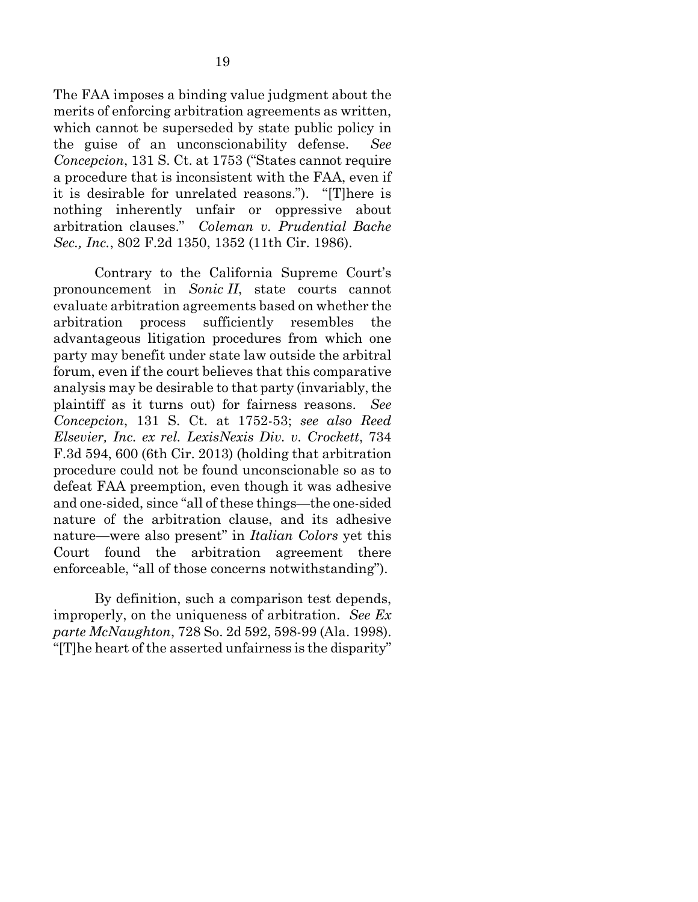The FAA imposes a binding value judgment about the merits of enforcing arbitration agreements as written, which cannot be superseded by state public policy in the guise of an unconscionability defense. *See Concepcion*, 131 S. Ct. at 1753 ("States cannot require a procedure that is inconsistent with the FAA, even if it is desirable for unrelated reasons."). "[T]here is nothing inherently unfair or oppressive about arbitration clauses." *Coleman v. Prudential Bache Sec., Inc.*, 802 F.2d 1350, 1352 (11th Cir. 1986).

Contrary to the California Supreme Court's pronouncement in *Sonic II*, state courts cannot evaluate arbitration agreements based on whether the arbitration process sufficiently resembles the advantageous litigation procedures from which one party may benefit under state law outside the arbitral forum, even if the court believes that this comparative analysis may be desirable to that party (invariably, the plaintiff as it turns out) for fairness reasons. *See Concepcion*, 131 S. Ct. at 1752-53; *see also Reed Elsevier, Inc. ex rel. LexisNexis Div. v. Crockett*, 734 F.3d 594, 600 (6th Cir. 2013) (holding that arbitration procedure could not be found unconscionable so as to defeat FAA preemption, even though it was adhesive and one-sided, since "all of these things—the one-sided nature of the arbitration clause, and its adhesive nature—were also present" in *Italian Colors* yet this Court found the arbitration agreement there enforceable, "all of those concerns notwithstanding").

By definition, such a comparison test depends, improperly, on the uniqueness of arbitration. *See Ex parte McNaughton*, 728 So. 2d 592, 598-99 (Ala. 1998). "[T]he heart of the asserted unfairness is the disparity"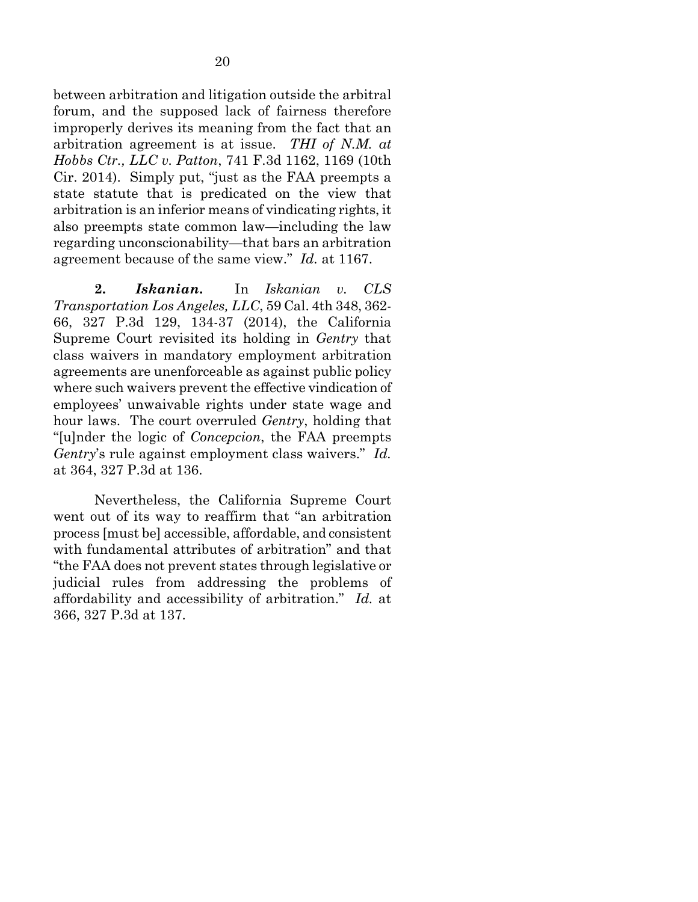between arbitration and litigation outside the arbitral forum, and the supposed lack of fairness therefore improperly derives its meaning from the fact that an arbitration agreement is at issue. *THI of N.M. at Hobbs Ctr., LLC v. Patton*, 741 F.3d 1162, 1169 (10th Cir. 2014). Simply put, "just as the FAA preempts a state statute that is predicated on the view that arbitration is an inferior means of vindicating rights, it also preempts state common law—including the law regarding unconscionability—that bars an arbitration agreement because of the same view." *Id.* at 1167.

**2.** *Iskanian***.** In *Iskanian v. CLS Transportation Los Angeles, LLC*, 59 Cal. 4th 348, 362- 66, 327 P.3d 129, 134-37 (2014), the California Supreme Court revisited its holding in *Gentry* that class waivers in mandatory employment arbitration agreements are unenforceable as against public policy where such waivers prevent the effective vindication of employees' unwaivable rights under state wage and hour laws. The court overruled *Gentry*, holding that "[u]nder the logic of *Concepcion*, the FAA preempts *Gentry*'s rule against employment class waivers." *Id.* at 364, 327 P.3d at 136.

Nevertheless, the California Supreme Court went out of its way to reaffirm that "an arbitration process [must be] accessible, affordable, and consistent with fundamental attributes of arbitration" and that "the FAA does not prevent states through legislative or judicial rules from addressing the problems of affordability and accessibility of arbitration." *Id.* at 366, 327 P.3d at 137.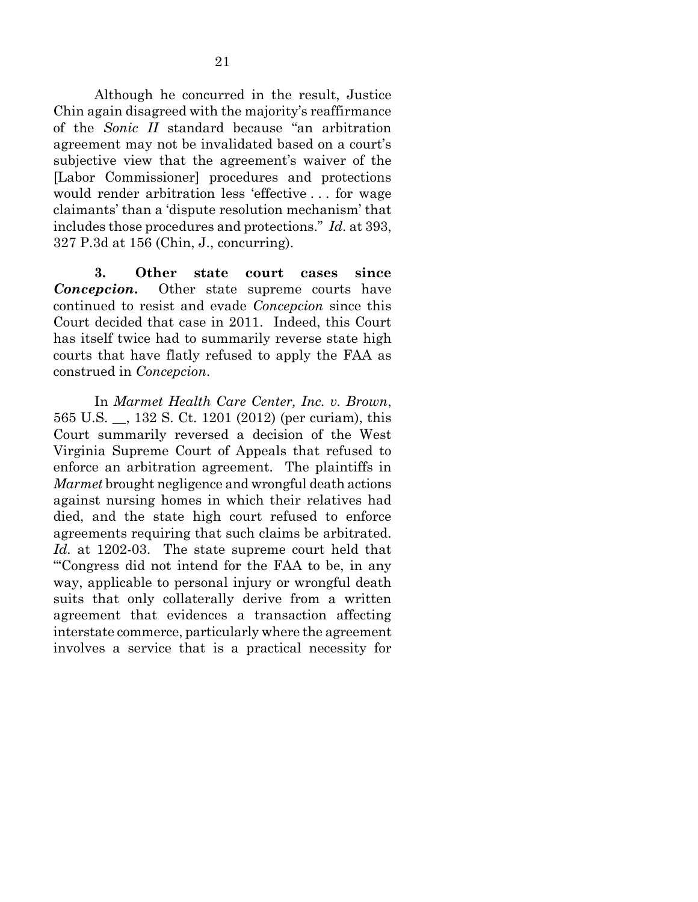Although he concurred in the result, Justice Chin again disagreed with the majority's reaffirmance of the *Sonic II* standard because "an arbitration agreement may not be invalidated based on a court's subjective view that the agreement's waiver of the [Labor Commissioner] procedures and protections would render arbitration less 'effective . . . for wage claimants' than a 'dispute resolution mechanism' that includes those procedures and protections." *Id.* at 393, 327 P.3d at 156 (Chin, J., concurring).

**3. Other state court cases since**  *Concepcion***.** Other state supreme courts have continued to resist and evade *Concepcion* since this Court decided that case in 2011. Indeed, this Court has itself twice had to summarily reverse state high courts that have flatly refused to apply the FAA as construed in *Concepcion*.

In *Marmet Health Care Center, Inc. v. Brown*, 565 U.S. \_\_, 132 S. Ct. 1201 (2012) (per curiam), this Court summarily reversed a decision of the West Virginia Supreme Court of Appeals that refused to enforce an arbitration agreement. The plaintiffs in *Marmet* brought negligence and wrongful death actions against nursing homes in which their relatives had died, and the state high court refused to enforce agreements requiring that such claims be arbitrated. *Id.* at 1202-03. The state supreme court held that "'Congress did not intend for the FAA to be, in any way, applicable to personal injury or wrongful death suits that only collaterally derive from a written agreement that evidences a transaction affecting interstate commerce, particularly where the agreement involves a service that is a practical necessity for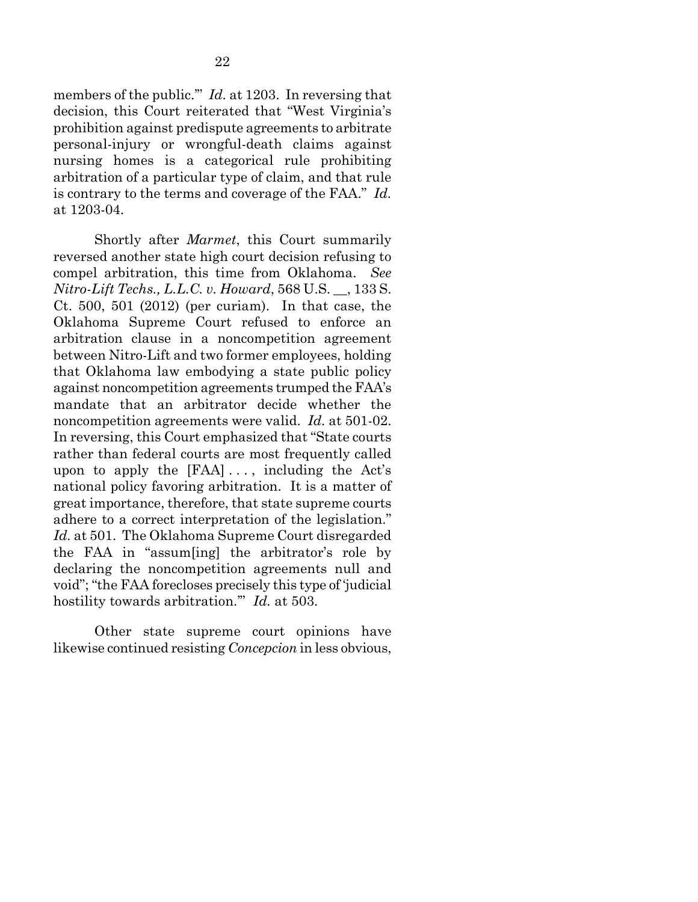members of the public." *Id.* at 1203. In reversing that decision, this Court reiterated that "West Virginia's prohibition against predispute agreements to arbitrate personal-injury or wrongful-death claims against nursing homes is a categorical rule prohibiting arbitration of a particular type of claim, and that rule is contrary to the terms and coverage of the FAA." *Id.* at 1203-04.

Shortly after *Marmet*, this Court summarily reversed another state high court decision refusing to compel arbitration, this time from Oklahoma. *See Nitro-Lift Techs., L.L.C. v. Howard*, 568 U.S. \_\_, 133 S. Ct. 500, 501 (2012) (per curiam). In that case, the Oklahoma Supreme Court refused to enforce an arbitration clause in a noncompetition agreement between Nitro-Lift and two former employees, holding that Oklahoma law embodying a state public policy against noncompetition agreements trumped the FAA's mandate that an arbitrator decide whether the noncompetition agreements were valid. *Id.* at 501-02. In reversing, this Court emphasized that "State courts rather than federal courts are most frequently called upon to apply the  $[FAA] \ldots$ , including the Act's national policy favoring arbitration. It is a matter of great importance, therefore, that state supreme courts adhere to a correct interpretation of the legislation." *Id.* at 501. The Oklahoma Supreme Court disregarded the FAA in "assum[ing] the arbitrator's role by declaring the noncompetition agreements null and void"; "the FAA forecloses precisely this type of 'judicial hostility towards arbitration.'" *Id.* at 503.

Other state supreme court opinions have likewise continued resisting *Concepcion* in less obvious,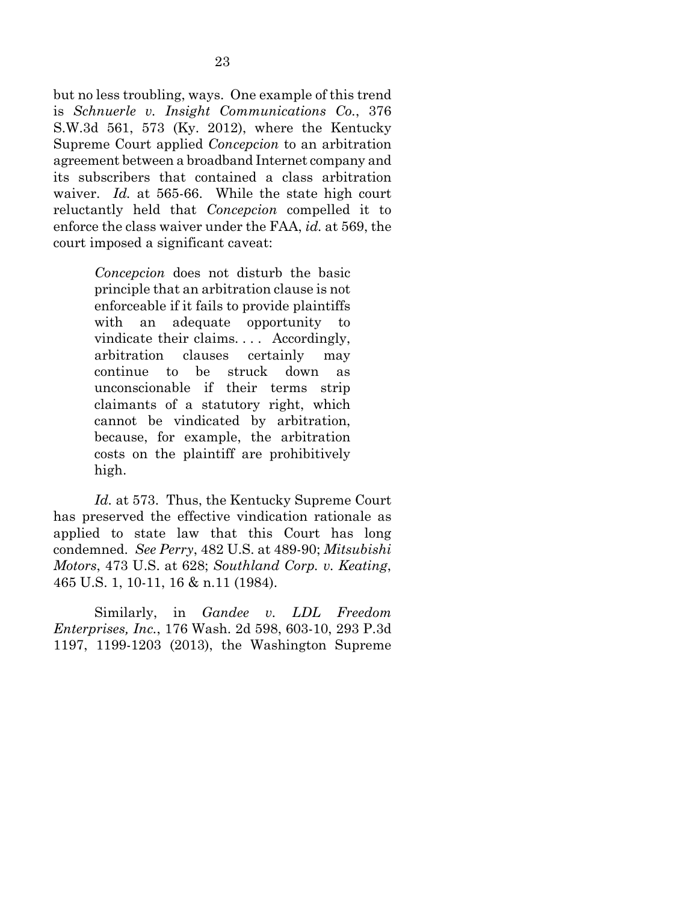but no less troubling, ways. One example of this trend is *Schnuerle v. Insight Communications Co.*, 376 S.W.3d 561, 573 (Ky. 2012), where the Kentucky Supreme Court applied *Concepcion* to an arbitration agreement between a broadband Internet company and its subscribers that contained a class arbitration waiver. *Id.* at 565-66. While the state high court reluctantly held that *Concepcion* compelled it to enforce the class waiver under the FAA, *id.* at 569, the court imposed a significant caveat:

> *Concepcion* does not disturb the basic principle that an arbitration clause is not enforceable if it fails to provide plaintiffs with an adequate opportunity to vindicate their claims. . . . Accordingly, arbitration clauses certainly may continue to be struck down as unconscionable if their terms strip claimants of a statutory right, which cannot be vindicated by arbitration, because, for example, the arbitration costs on the plaintiff are prohibitively high.

*Id.* at 573. Thus, the Kentucky Supreme Court has preserved the effective vindication rationale as applied to state law that this Court has long condemned. *See Perry*, 482 U.S. at 489-90; *Mitsubishi Motors*, 473 U.S. at 628; *Southland Corp. v. Keating*, 465 U.S. 1, 10-11, 16 & n.11 (1984).

Similarly, in *Gandee v. LDL Freedom Enterprises, Inc.*, 176 Wash. 2d 598, 603-10, 293 P.3d 1197, 1199-1203 (2013), the Washington Supreme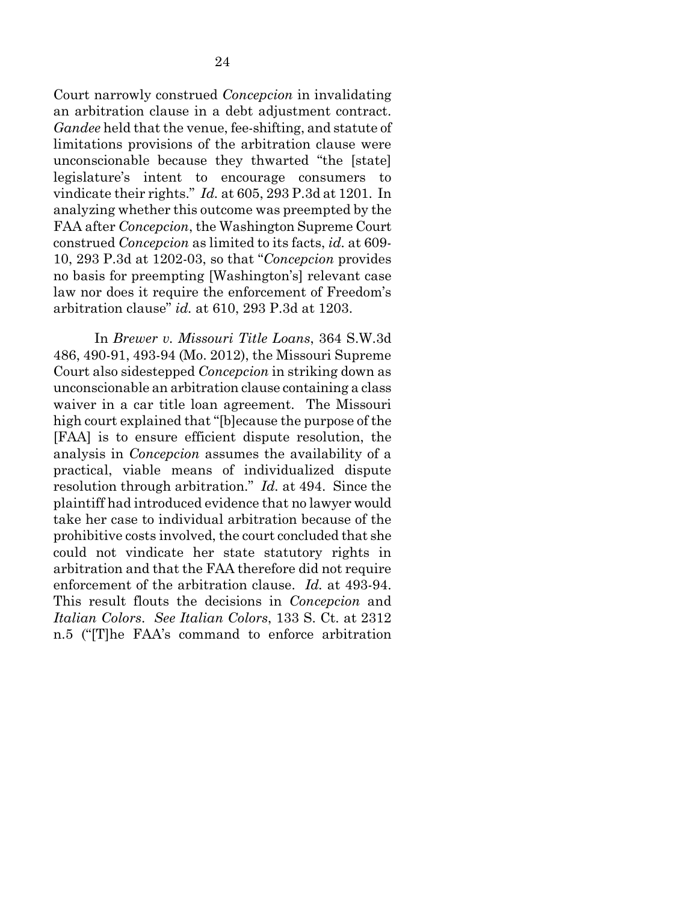Court narrowly construed *Concepcion* in invalidating an arbitration clause in a debt adjustment contract. *Gandee* held that the venue, fee-shifting, and statute of limitations provisions of the arbitration clause were unconscionable because they thwarted "the [state] legislature's intent to encourage consumers to vindicate their rights." *Id.* at 605, 293 P.3d at 1201. In analyzing whether this outcome was preempted by the FAA after *Concepcion*, the Washington Supreme Court construed *Concepcion* as limited to its facts, *id.* at 609- 10, 293 P.3d at 1202-03, so that "*Concepcion* provides no basis for preempting [Washington's] relevant case law nor does it require the enforcement of Freedom's arbitration clause" *id.* at 610, 293 P.3d at 1203.

In *Brewer v. Missouri Title Loans*, 364 S.W.3d 486, 490-91, 493-94 (Mo. 2012), the Missouri Supreme Court also sidestepped *Concepcion* in striking down as unconscionable an arbitration clause containing a class waiver in a car title loan agreement. The Missouri high court explained that "[b]ecause the purpose of the [FAA] is to ensure efficient dispute resolution, the analysis in *Concepcion* assumes the availability of a practical, viable means of individualized dispute resolution through arbitration." *Id.* at 494. Since the plaintiff had introduced evidence that no lawyer would take her case to individual arbitration because of the prohibitive costs involved, the court concluded that she could not vindicate her state statutory rights in arbitration and that the FAA therefore did not require enforcement of the arbitration clause. *Id.* at 493-94. This result flouts the decisions in *Concepcion* and *Italian Colors*. *See Italian Colors*, 133 S. Ct. at 2312 n.5 ("[T]he FAA's command to enforce arbitration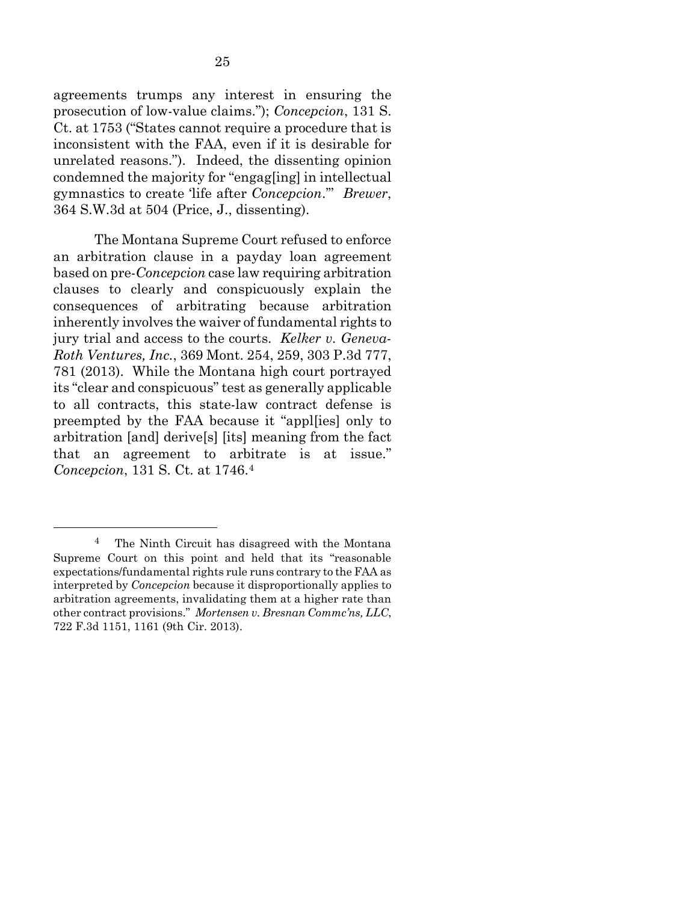agreements trumps any interest in ensuring the prosecution of low-value claims."); *Concepcion*, 131 S. Ct. at 1753 ("States cannot require a procedure that is inconsistent with the FAA, even if it is desirable for unrelated reasons."). Indeed, the dissenting opinion condemned the majority for "engag[ing] in intellectual gymnastics to create 'life after *Concepcion*.'" *Brewer*, 364 S.W.3d at 504 (Price, J., dissenting).

The Montana Supreme Court refused to enforce an arbitration clause in a payday loan agreement based on pre-*Concepcion* case law requiring arbitration clauses to clearly and conspicuously explain the consequences of arbitrating because arbitration inherently involves the waiver of fundamental rights to jury trial and access to the courts. *Kelker v. Geneva-Roth Ventures, Inc.*, 369 Mont. 254, 259, 303 P.3d 777, 781 (2013). While the Montana high court portrayed its "clear and conspicuous" test as generally applicable to all contracts, this state-law contract defense is preempted by the FAA because it "appl[ies] only to arbitration [and] derive[s] [its] meaning from the fact that an agreement to arbitrate is at issue." *Concepcion*, 131 S. Ct. at 1746[.4](#page-30-0)

<span id="page-30-0"></span>The Ninth Circuit has disagreed with the Montana Supreme Court on this point and held that its "reasonable expectations/fundamental rights rule runs contrary to the FAA as interpreted by *Concepcion* because it disproportionally applies to arbitration agreements, invalidating them at a higher rate than other contract provisions." *Mortensen v. Bresnan Commc'ns, LLC*, 722 F.3d 1151, 1161 (9th Cir. 2013).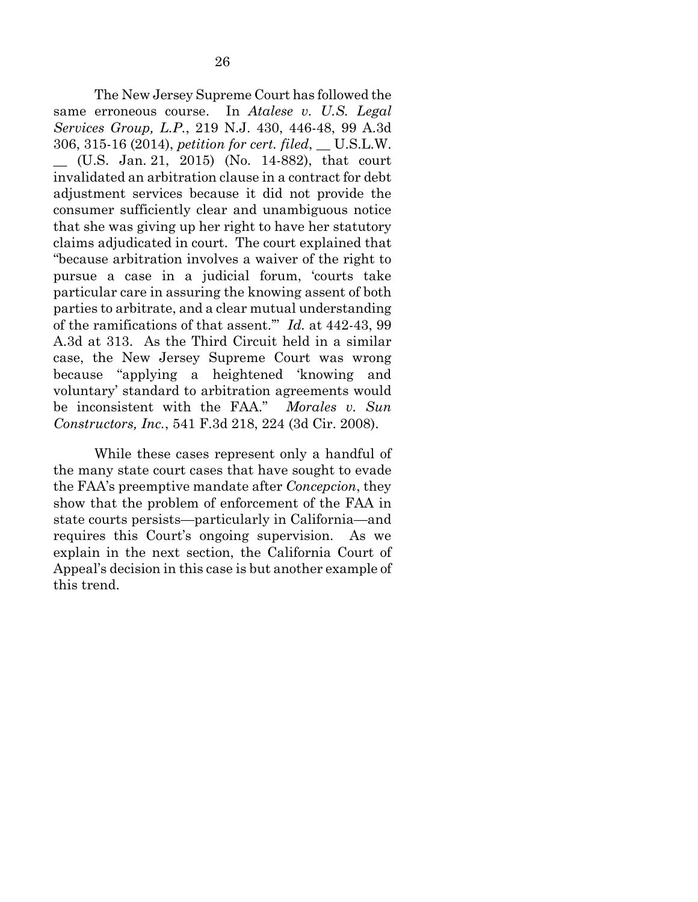The New Jersey Supreme Court has followed the same erroneous course. In *Atalese v. U.S. Legal Services Group, L.P.*, 219 N.J. 430, 446-48, 99 A.3d 306, 315-16 (2014), *petition for cert. filed*, \_\_ U.S.L.W. \_\_ (U.S. Jan. 21, 2015) (No. 14-882), that court invalidated an arbitration clause in a contract for debt adjustment services because it did not provide the consumer sufficiently clear and unambiguous notice that she was giving up her right to have her statutory claims adjudicated in court. The court explained that "because arbitration involves a waiver of the right to pursue a case in a judicial forum, 'courts take particular care in assuring the knowing assent of both parties to arbitrate, and a clear mutual understanding of the ramifications of that assent.'" *Id.* at 442-43, 99 A.3d at 313. As the Third Circuit held in a similar case, the New Jersey Supreme Court was wrong because "applying a heightened 'knowing and voluntary' standard to arbitration agreements would be inconsistent with the FAA." *Morales v. Sun Constructors, Inc.*, 541 F.3d 218, 224 (3d Cir. 2008).

While these cases represent only a handful of the many state court cases that have sought to evade the FAA's preemptive mandate after *Concepcion*, they show that the problem of enforcement of the FAA in state courts persists—particularly in California—and requires this Court's ongoing supervision. As we explain in the next section, the California Court of Appeal's decision in this case is but another example of this trend.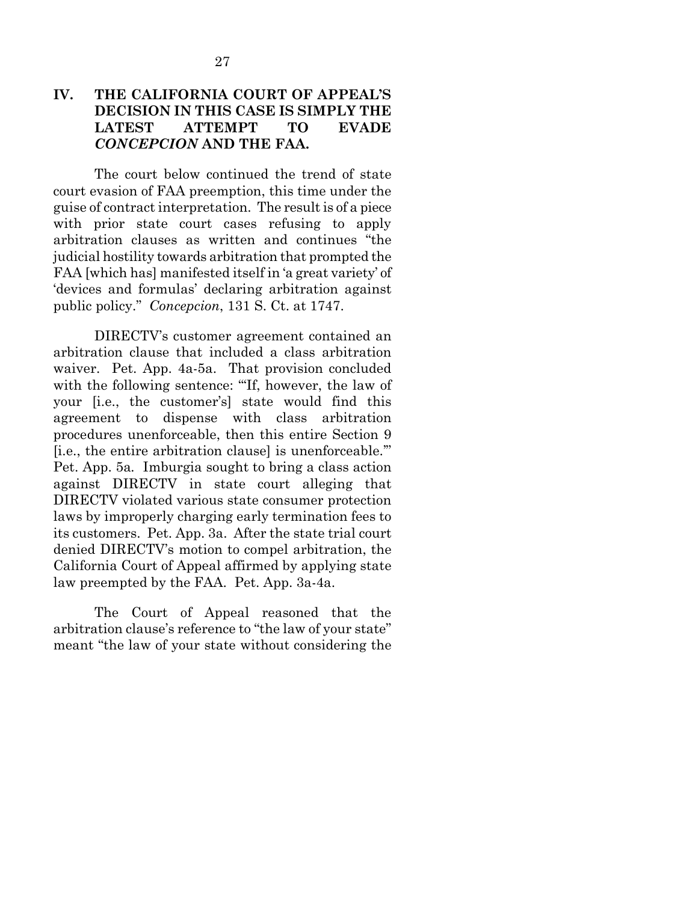### **IV. THE CALIFORNIA COURT OF APPEAL'S DECISION IN THIS CASE IS SIMPLY THE LATEST ATTEMPT TO EVADE**  *CONCEPCION* **AND THE FAA.**

The court below continued the trend of state court evasion of FAA preemption, this time under the guise of contract interpretation. The result is of a piece with prior state court cases refusing to apply arbitration clauses as written and continues "the judicial hostility towards arbitration that prompted the FAA [which has] manifested itself in 'a great variety' of 'devices and formulas' declaring arbitration against public policy." *Concepcion*, 131 S. Ct. at 1747.

DIRECTV's customer agreement contained an arbitration clause that included a class arbitration waiver. Pet. App. 4a-5a. That provision concluded with the following sentence: "If, however, the law of your [i.e., the customer's] state would find this agreement to dispense with class arbitration procedures unenforceable, then this entire Section 9 [i.e., the entire arbitration clause] is unenforceable.'" Pet. App. 5a*.* Imburgia sought to bring a class action against DIRECTV in state court alleging that DIRECTV violated various state consumer protection laws by improperly charging early termination fees to its customers. Pet. App. 3a. After the state trial court denied DIRECTV's motion to compel arbitration, the California Court of Appeal affirmed by applying state law preempted by the FAA. Pet. App. 3a-4a.

The Court of Appeal reasoned that the arbitration clause's reference to "the law of your state" meant "the law of your state without considering the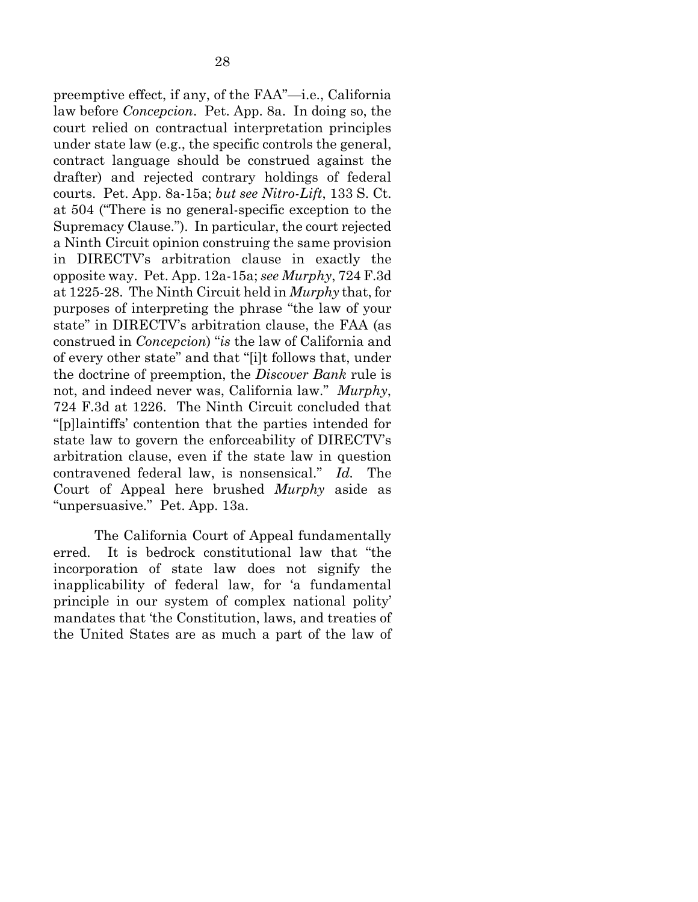preemptive effect, if any, of the FAA"—i.e., California law before *Concepcion*. Pet. App. 8a. In doing so, the court relied on contractual interpretation principles under state law (e.g., the specific controls the general, contract language should be construed against the drafter) and rejected contrary holdings of federal courts. Pet. App. 8a-15a; *but see Nitro-Lift*, 133 S. Ct. at 504 ("There is no general-specific exception to the Supremacy Clause."). In particular, the court rejected a Ninth Circuit opinion construing the same provision in DIRECTV's arbitration clause in exactly the opposite way. Pet. App. 12a-15a; *see Murphy*, 724 F.3d at 1225-28. The Ninth Circuit held in *Murphy* that, for purposes of interpreting the phrase "the law of your state" in DIRECTV's arbitration clause, the FAA (as construed in *Concepcion*) "*is* the law of California and of every other state" and that "[i]t follows that, under the doctrine of preemption, the *Discover Bank* rule is not, and indeed never was, California law." *Murphy*, 724 F.3d at 1226. The Ninth Circuit concluded that "[p]laintiffs' contention that the parties intended for state law to govern the enforceability of DIRECTV's arbitration clause, even if the state law in question contravened federal law, is nonsensical." *Id.* The Court of Appeal here brushed *Murphy* aside as "unpersuasive." Pet. App. 13a.

The California Court of Appeal fundamentally erred. It is bedrock constitutional law that "the incorporation of state law does not signify the inapplicability of federal law, for 'a fundamental principle in our system of complex national polity' mandates that 'the Constitution, laws, and treaties of the United States are as much a part of the law of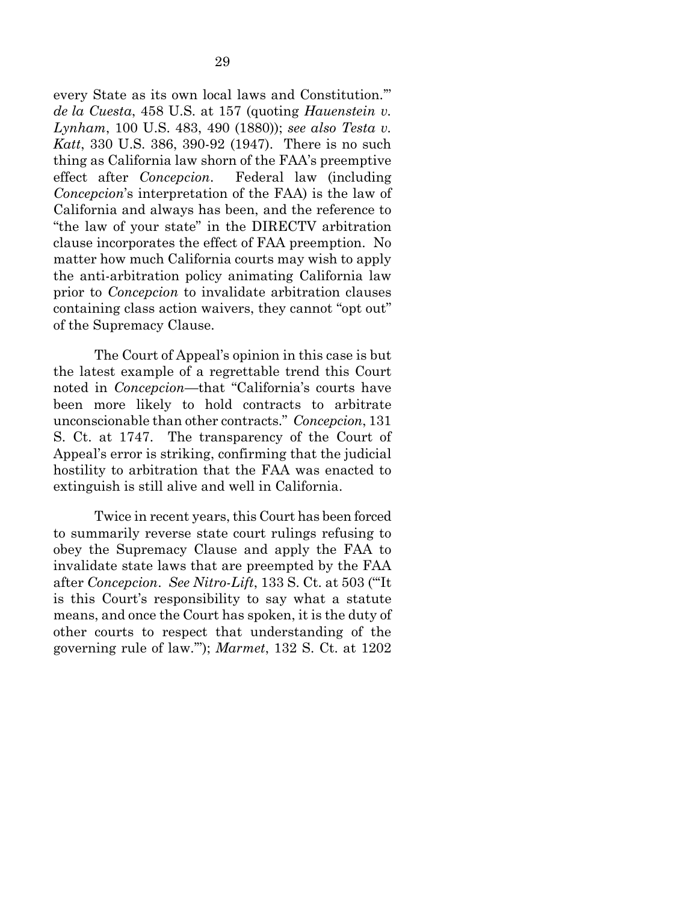every State as its own local laws and Constitution.'" *de la Cuesta*, 458 U.S. at 157 (quoting *Hauenstein v. Lynham*, 100 U.S. 483, 490 (1880)); *see also Testa v. Katt*, 330 U.S. 386, 390-92 (1947). There is no such thing as California law shorn of the FAA's preemptive effect after *Concepcion*. Federal law (including *Concepcion*'s interpretation of the FAA) is the law of California and always has been, and the reference to "the law of your state" in the DIRECTV arbitration clause incorporates the effect of FAA preemption. No matter how much California courts may wish to apply the anti-arbitration policy animating California law prior to *Concepcion* to invalidate arbitration clauses containing class action waivers, they cannot "opt out" of the Supremacy Clause.

The Court of Appeal's opinion in this case is but the latest example of a regrettable trend this Court noted in *Concepcion*—that "California's courts have been more likely to hold contracts to arbitrate unconscionable than other contracts." *Concepcion*, 131 S. Ct. at 1747. The transparency of the Court of Appeal's error is striking, confirming that the judicial hostility to arbitration that the FAA was enacted to extinguish is still alive and well in California.

Twice in recent years, this Court has been forced to summarily reverse state court rulings refusing to obey the Supremacy Clause and apply the FAA to invalidate state laws that are preempted by the FAA after *Concepcion*. *See Nitro-Lift*, 133 S. Ct. at 503 ("'It is this Court's responsibility to say what a statute means, and once the Court has spoken, it is the duty of other courts to respect that understanding of the governing rule of law.'"); *Marmet*, 132 S. Ct. at 1202